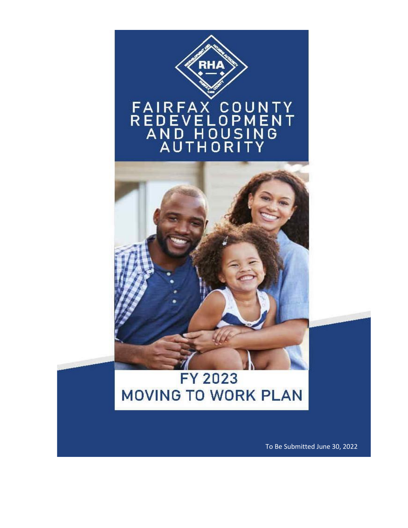

To Be Submitted June 30, 2022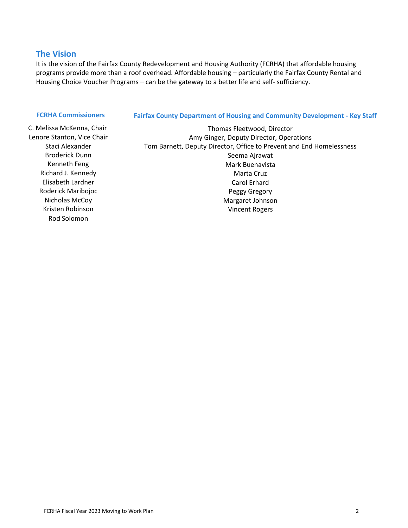#### **The Vision**

It is the vision of the Fairfax County Redevelopment and Housing Authority (FCRHA) that affordable housing programs provide more than a roof overhead. Affordable housing – particularly the Fairfax County Rental and Housing Choice Voucher Programs – can be the gateway to a better life and self- sufficiency.

#### **FCRHA Commissioners Fairfax County Department of Housing and Community Development - Key Staff**

Rod Solomon

C. Melissa McKenna, Chair Thomas Fleetwood, Director Lenore Stanton, Vice Chair **Amy Ginger, Deputy Director, Operations** Staci Alexander Tom Barnett, Deputy Director, Office to Prevent and End Homelessness Broderick Dunn Seema Ajrawat Kenneth Feng Mark Buenavista Richard J. Kennedy **Marta Cruz** Marta Cruz Elisabeth Lardner Carol Erhard Carol Erhard Roderick Maribojoc **Peggy Gregory** Nicholas McCoy **Margaret Johnson** Margaret Johnson Kristen Robinson Vincent Rogers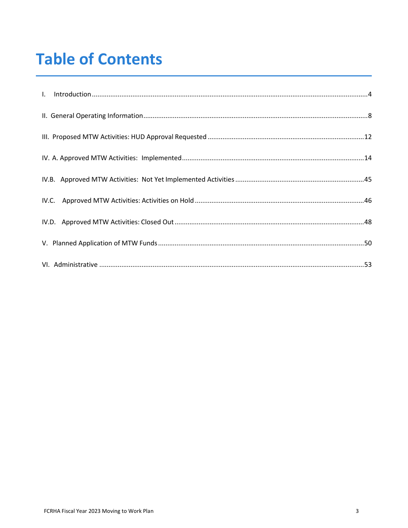# **Table of Contents**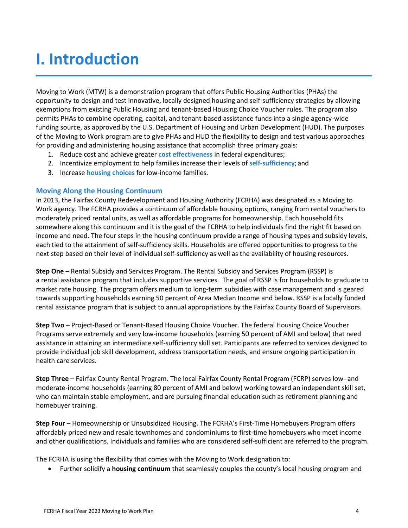## <span id="page-3-0"></span>**I. Introduction**

Moving to Work (MTW) is a demonstration program that offers Public Housing Authorities (PHAs) the opportunity to design and test innovative, locally designed housing and self-sufficiency strategies by allowing exemptions from existing Public Housing and tenant-based Housing Choice Voucher rules. The program also permits PHAs to combine operating, capital, and tenant-based assistance funds into a single agency-wide funding source, as approved by the U.S. Department of Housing and Urban Development (HUD). The purposes of the Moving to Work program are to give PHAs and HUD the flexibility to design and test various approaches for providing and administering housing assistance that accomplish three primary goals:

- 1. Reduce cost and achieve greater **cost effectiveness** in federal expenditures;
- 2. Incentivize employment to help families increase their levels of **self-sufficiency**; and
- 3. Increase **housing choices** for low-income families.

#### **Moving Along the Housing Continuum**

In 2013, the Fairfax County Redevelopment and Housing Authority (FCRHA) was designated as a Moving to Work agency. The FCRHA provides a continuum of affordable housing options, ranging from rental vouchers to moderately priced rental units, as well as affordable programs for homeownership. Each household fits somewhere along this continuum and it is the goal of the FCRHA to help individuals find the right fit based on income and need. The four steps in the housing continuum provide a range of housing types and subsidy levels, each tied to the attainment of self-sufficiency skills. Households are offered opportunities to progress to the next step based on their level of individual self-sufficiency as well as the availability of housing resources.

**Step One** – Rental Subsidy and Services Program. The Rental Subsidy and Services Program (RSSP) is a rental assistance program that includes supportive services. The goal of RSSP is for households to graduate to market rate housing. The program offers medium to long-term subsidies with case management and is geared towards supporting households earning 50 percent of Area Median Income and below. RSSP is a locally funded rental assistance program that is subject to annual appropriations by the Fairfax County Board of Supervisors.

**Step Two** – Project-Based or Tenant-Based Housing Choice Voucher. The federal Housing Choice Voucher Programs serve extremely and very low-income households (earning 50 percent of AMI and below) that need assistance in attaining an intermediate self-sufficiency skill set. Participants are referred to services designed to provide individual job skill development, address transportation needs, and ensure ongoing participation in health care services.

**Step Three** – Fairfax County Rental Program. The local Fairfax County Rental Program (FCRP) serves low- and moderate-income households (earning 80 percent of AMI and below) working toward an independent skill set, who can maintain stable employment, and are pursuing financial education such as retirement planning and homebuyer training.

**Step Four** – Homeownership or Unsubsidized Housing. The FCRHA's First-Time Homebuyers Program offers affordably priced new and resale townhomes and condominiums to first-time homebuyers who meet income and other qualifications. Individuals and families who are considered self-sufficient are referred to the program.

The FCRHA is using the flexibility that comes with the Moving to Work designation to:

• Further solidify a **housing continuum** that seamlessly couples the county's local housing program and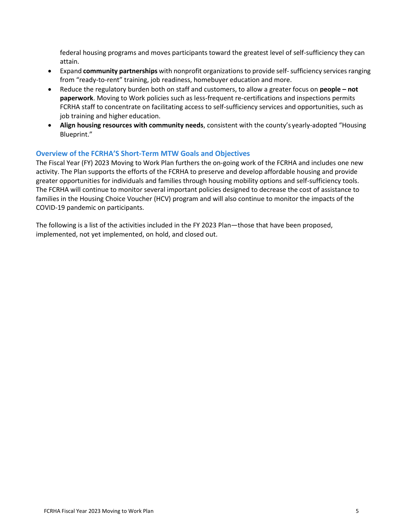federal housing programs and moves participants toward the greatest level of self-sufficiency they can attain.

- Expand **community partnerships** with nonprofit organizations to provide self-sufficiency services ranging from "ready-to-rent" training, job readiness, homebuyer education and more.
- Reduce the regulatory burden both on staff and customers, to allow a greater focus on **people – not paperwork**. Moving to Work policies such as less-frequent re-certifications and inspections permits FCRHA staff to concentrate on facilitating access to self-sufficiency services and opportunities, such as job training and higher education.
- **Align housing resources with community needs**, consistent with the county's yearly-adopted "Housing Blueprint."

#### **Overview of the FCRHA'S Short-Term MTW Goals and Objectives**

The Fiscal Year (FY) 2023 Moving to Work Plan furthers the on-going work of the FCRHA and includes one new activity. The Plan supports the efforts of the FCRHA to preserve and develop affordable housing and provide greater opportunities for individuals and families through housing mobility options and self-sufficiency tools. The FCRHA will continue to monitor several important policies designed to decrease the cost of assistance to families in the Housing Choice Voucher (HCV) program and will also continue to monitor the impacts of the COVID-19 pandemic on participants.

The following is a list of the activities included in the FY 2023 Plan—those that have been proposed, implemented, not yet implemented, on hold, and closed out.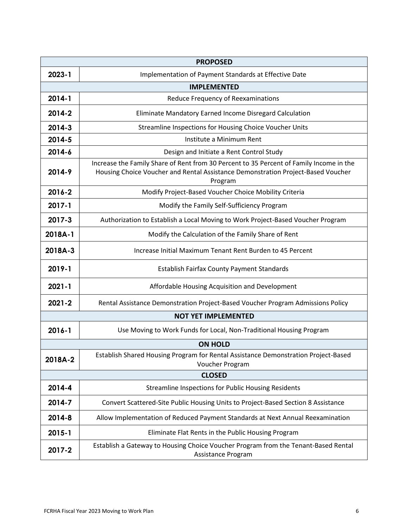|                                                              | <b>PROPOSED</b>                                                                                                                                                                        |  |  |  |  |  |
|--------------------------------------------------------------|----------------------------------------------------------------------------------------------------------------------------------------------------------------------------------------|--|--|--|--|--|
| 2023-1                                                       | Implementation of Payment Standards at Effective Date                                                                                                                                  |  |  |  |  |  |
| <b>IMPLEMENTED</b>                                           |                                                                                                                                                                                        |  |  |  |  |  |
| 2014-1                                                       | Reduce Frequency of Reexaminations                                                                                                                                                     |  |  |  |  |  |
| 2014-2                                                       | Eliminate Mandatory Earned Income Disregard Calculation                                                                                                                                |  |  |  |  |  |
| 2014-3                                                       | Streamline Inspections for Housing Choice Voucher Units                                                                                                                                |  |  |  |  |  |
| 2014-5                                                       | Institute a Minimum Rent                                                                                                                                                               |  |  |  |  |  |
| 2014-6                                                       | Design and Initiate a Rent Control Study                                                                                                                                               |  |  |  |  |  |
| 2014-9                                                       | Increase the Family Share of Rent from 30 Percent to 35 Percent of Family Income in the<br>Housing Choice Voucher and Rental Assistance Demonstration Project-Based Voucher<br>Program |  |  |  |  |  |
| 2016-2                                                       | Modify Project-Based Voucher Choice Mobility Criteria                                                                                                                                  |  |  |  |  |  |
| 2017-1                                                       | Modify the Family Self-Sufficiency Program                                                                                                                                             |  |  |  |  |  |
| 2017-3                                                       | Authorization to Establish a Local Moving to Work Project-Based Voucher Program                                                                                                        |  |  |  |  |  |
| 2018A-1                                                      | Modify the Calculation of the Family Share of Rent                                                                                                                                     |  |  |  |  |  |
| 2018A-3                                                      | Increase Initial Maximum Tenant Rent Burden to 45 Percent                                                                                                                              |  |  |  |  |  |
| 2019-1                                                       | <b>Establish Fairfax County Payment Standards</b>                                                                                                                                      |  |  |  |  |  |
| $2021 - 1$<br>Affordable Housing Acquisition and Development |                                                                                                                                                                                        |  |  |  |  |  |
| $2021 - 2$                                                   | Rental Assistance Demonstration Project-Based Voucher Program Admissions Policy                                                                                                        |  |  |  |  |  |
|                                                              | <b>NOT YET IMPLEMENTED</b>                                                                                                                                                             |  |  |  |  |  |
| $2016 - 1$                                                   | Use Moving to Work Funds for Local, Non-Traditional Housing Program                                                                                                                    |  |  |  |  |  |
|                                                              | <b>ON HOLD</b>                                                                                                                                                                         |  |  |  |  |  |
| 2018A-2                                                      | Establish Shared Housing Program for Rental Assistance Demonstration Project-Based<br>Voucher Program                                                                                  |  |  |  |  |  |
|                                                              | <b>CLOSED</b>                                                                                                                                                                          |  |  |  |  |  |
| 2014-4                                                       | <b>Streamline Inspections for Public Housing Residents</b>                                                                                                                             |  |  |  |  |  |
| 2014-7                                                       | Convert Scattered-Site Public Housing Units to Project-Based Section 8 Assistance                                                                                                      |  |  |  |  |  |
| 2014-8                                                       | Allow Implementation of Reduced Payment Standards at Next Annual Reexamination                                                                                                         |  |  |  |  |  |
| $2015 - 1$                                                   | Eliminate Flat Rents in the Public Housing Program                                                                                                                                     |  |  |  |  |  |
| 2017-2                                                       | Establish a Gateway to Housing Choice Voucher Program from the Tenant-Based Rental<br>Assistance Program                                                                               |  |  |  |  |  |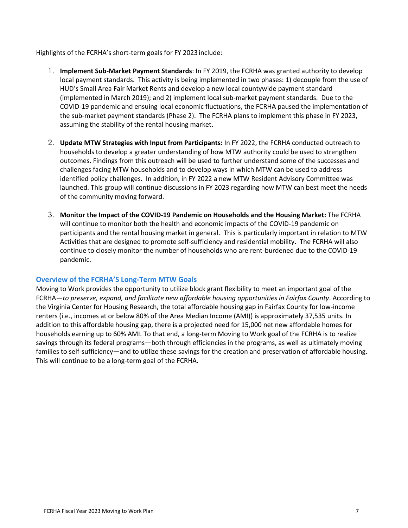Highlights of the FCRHA's short-term goals for FY 2023 include:

- 1. **Implement Sub-Market Payment Standards**: In FY 2019, the FCRHA was granted authority to develop local payment standards. This activity is being implemented in two phases: 1) decouple from the use of HUD's Small Area Fair Market Rents and develop a new local countywide payment standard (implemented in March 2019); and 2) implement local sub-market payment standards. Due to the COVID-19 pandemic and ensuing local economic fluctuations, the FCRHA paused the implementation of the sub-market payment standards (Phase 2). The FCRHA plans to implement this phase in FY 2023, assuming the stability of the rental housing market.
- 2. **Update MTW Strategies with Input from Participants:** In FY 2022, the FCRHA conducted outreach to households to develop a greater understanding of how MTW authority could be used to strengthen outcomes. Findings from this outreach will be used to further understand some of the successes and challenges facing MTW households and to develop ways in which MTW can be used to address identified policy challenges. In addition, in FY 2022 a new MTW Resident Advisory Committee was launched. This group will continue discussions in FY 2023 regarding how MTW can best meet the needs of the community moving forward.
- 3. **Monitor the Impact of the COVID-19 Pandemic on Households and the Housing Market:** The FCRHA will continue to monitor both the health and economic impacts of the COVID-19 pandemic on participants and the rental housing market in general. This is particularly important in relation to MTW Activities that are designed to promote self-sufficiency and residential mobility. The FCRHA will also continue to closely monitor the number of households who are rent-burdened due to the COVID-19 pandemic.

#### **Overview of the FCRHA'S Long-Term MTW Goals**

Moving to Work provides the opportunity to utilize block grant flexibility to meet an important goal of the FCRHA—*to preserve, expand, and facilitate new affordable housing opportunities in Fairfax County*. According to the Virginia Center for Housing Research, the total affordable housing gap in Fairfax County for low-income renters (i.e., incomes at or below 80% of the Area Median Income (AMI)) is approximately 37,535 units. In addition to this affordable housing gap, there is a projected need for 15,000 net new affordable homes for households earning up to 60% AMI. To that end, a long-term Moving to Work goal of the FCRHA is to realize savings through its federal programs—both through efficiencies in the programs, as well as ultimately moving families to self-sufficiency—and to utilize these savings for the creation and preservation of affordable housing. This will continue to be a long-term goal of the FCRHA.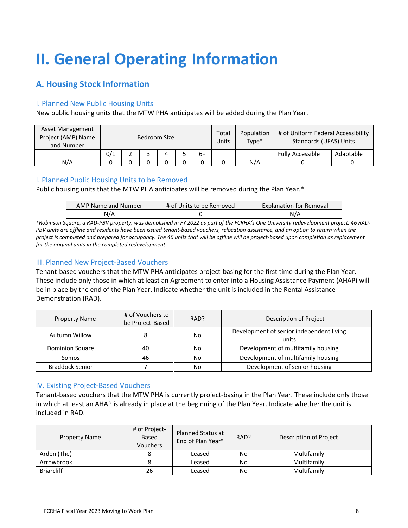# <span id="page-7-0"></span>**II. General Operating Information**

## **A. Housing Stock Information**

#### I. Planned New Public Housing Units

New public housing units that the MTW PHA anticipates will be added during the Plan Year.

| Asset Management<br>Project (AMP) Name<br>and Number | Bedroom Size |  |  |  |  | Total<br>Units | Population<br>Type* | # of Uniform Federal Accessibility<br>Standards (UFAS) Units |                         |           |
|------------------------------------------------------|--------------|--|--|--|--|----------------|---------------------|--------------------------------------------------------------|-------------------------|-----------|
|                                                      | 0/1          |  |  |  |  | 6+             |                     |                                                              | <b>Fully Accessible</b> | Adaptable |
| N/A                                                  |              |  |  |  |  |                |                     | N/A                                                          |                         |           |

#### I. Planned Public Housing Units to be Removed

Public housing units that the MTW PHA anticipates will be removed during the Plan Year.\*

| <b>AMP Name and Number</b> | # of Units to be Removed | <b>Explanation for Removal</b> |
|----------------------------|--------------------------|--------------------------------|
| N/A                        |                          | N/A                            |

*\*Robinson Square, a RAD-PBV property, was demolished in FY 2022 as part of the FCRHA's One University redevelopment project. 46 RAD-PBV units are offline and residents have been issued tenant-based vouchers, relocation assistance, and an option to return when the project is completed and prepared for occupancy. The 46 units that will be offline will be project-based upon completion as replacement for the original units in the completed redevelopment.*

#### III. Planned New Project-Based Vouchers

Tenant-based vouchers that the MTW PHA anticipates project-basing for the first time during the Plan Year. These include only those in which at least an Agreement to enter into a Housing Assistance Payment (AHAP) will be in place by the end of the Plan Year. Indicate whether the unit is included in the Rental Assistance Demonstration (RAD).

| <b>Property Name</b>   | # of Vouchers to<br>RAD?<br>be Project-Based |    | Description of Project                            |  |
|------------------------|----------------------------------------------|----|---------------------------------------------------|--|
| Autumn Willow          | 8                                            | No | Development of senior independent living<br>units |  |
| Dominion Square        | 40                                           | No | Development of multifamily housing                |  |
| Somos                  | 46                                           | No | Development of multifamily housing                |  |
| <b>Braddock Senior</b> |                                              | No | Development of senior housing                     |  |

#### IV. Existing Project-Based Vouchers

Tenant-based vouchers that the MTW PHA is currently project-basing in the Plan Year. These include only those in which at least an AHAP is already in place at the beginning of the Plan Year. Indicate whether the unit is included in RAD.

| <b>Property Name</b> | # of Project-<br>Based<br>Vouchers | <b>Planned Status at</b><br>End of Plan Year* | RAD? | Description of Project |
|----------------------|------------------------------------|-----------------------------------------------|------|------------------------|
| Arden (The)          |                                    | Leased                                        | No   | Multifamily            |
| Arrowbrook           |                                    | Leased                                        | No   | Multifamily            |
| <b>Briarcliff</b>    | 26                                 | Leased                                        | No   | Multifamily            |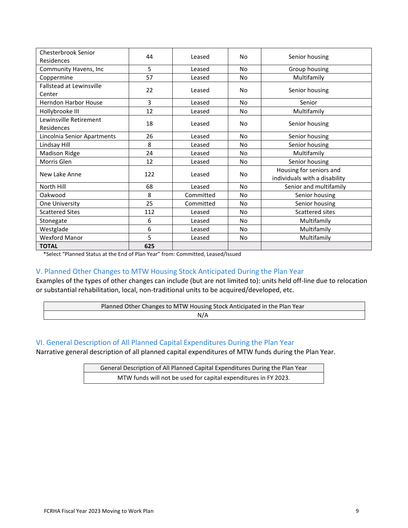| Chesterbrook Senior             | 44  | Leased    | No             | Senior housing                |  |
|---------------------------------|-----|-----------|----------------|-------------------------------|--|
| Residences                      |     |           |                |                               |  |
| Community Havens, Inc           | 5   | Leased    | No             | Group housing                 |  |
| Coppermine                      | 57  | Leased    | No             | Multifamily                   |  |
| <b>Fallstead at Lewinsville</b> |     |           | No             |                               |  |
| Center                          | 22  | Leased    |                | Senior housing                |  |
| <b>Herndon Harbor House</b>     | 3   | Leased    | No             | Senior                        |  |
| Hollybrooke III                 | 12  | Leased    | No             | Multifamily                   |  |
| Lewinsville Retirement          |     |           |                |                               |  |
| Residences                      | 18  | Leased    | No             | Senior housing                |  |
| Lincolnia Senior Apartments     | 26  | Leased    | <b>No</b>      | Senior housing                |  |
| Lindsay Hill                    | 8   | Leased    | No             | Senior housing                |  |
| <b>Madison Ridge</b>            | 24  | Leased    | No             | Multifamily                   |  |
| Morris Glen                     | 12  | Leased    | N <sub>o</sub> | Senior housing                |  |
|                                 | 122 | Leased    |                | Housing for seniors and       |  |
| New Lake Anne                   |     |           | No             | individuals with a disability |  |
| North Hill                      | 68  | Leased    | No             | Senior and multifamily        |  |
| Oakwood                         | 8   | Committed | No             | Senior housing                |  |
| One University                  | 25  | Committed | No             | Senior housing                |  |
| <b>Scattered Sites</b>          | 112 | Leased    | No             | Scattered sites               |  |
| Stonegate                       | 6   | Leased    | N <sub>o</sub> | Multifamily                   |  |
| Westglade                       | 6   | Leased    | N <sub>o</sub> | Multifamily                   |  |
| <b>Wexford Manor</b>            | 5   | Leased    | No             | Multifamily                   |  |
| <b>TOTAL</b>                    | 625 |           |                |                               |  |

\*Select "Planned Status at the End of Plan Year" from: Committed, Leased/Issued

#### V. Planned Other Changes to MTW Housing Stock Anticipated During the Plan Year

Examples of the types of other changes can include (but are not limited to): units held off-line due to relocation or substantial rehabilitation, local, non-traditional units to be acquired/developed, etc.

| Planned Other Changes to MTW Housing Stock Anticipated in the Plan Year |
|-------------------------------------------------------------------------|
| N/A                                                                     |

#### VI. General Description of All Planned Capital Expenditures During the Plan Year

Narrative general description of all planned capital expenditures of MTW funds during the Plan Year.

General Description of All Planned Capital Expenditures During the Plan Year MTW funds will not be used for capital expenditures in FY 2023.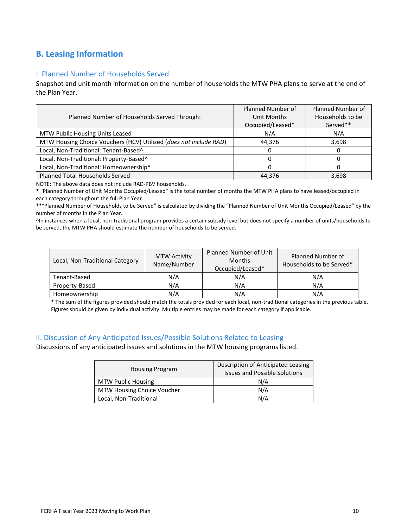## **B. Leasing Information**

#### I. Planned Number of Households Served

Snapshot and unit month information on the number of households the MTW PHA plans to serve at the end of the Plan Year.

| Planned Number of Households Served Through:                      | Planned Number of<br>Unit Months | Planned Number of<br>Households to be |
|-------------------------------------------------------------------|----------------------------------|---------------------------------------|
|                                                                   | Occupied/Leased*                 | Served**                              |
| MTW Public Housing Units Leased                                   | N/A                              | N/A                                   |
| MTW Housing Choice Vouchers (HCV) Utilized (does not include RAD) | 44,376                           | 3,698                                 |
| Local, Non-Traditional: Tenant-Based^                             | 0                                |                                       |
| Local, Non-Traditional: Property-Based^                           |                                  |                                       |
| Local, Non-Traditional: Homeownership^                            |                                  |                                       |
| Planned Total Households Served                                   | 44,376                           | 3,698                                 |
|                                                                   |                                  |                                       |

NOTE: The above data does not include RAD-PBV households.

\* "Planned Number of Unit Months Occupied/Leased" is the total number of months the MTW PHA plans to have leased/occupied in each category throughout the full Plan Year.

\*\*"Planned Number of Households to be Served" is calculated by dividing the "Planned Number of Unit Months Occupied/Leased" by the number of months in the Plan Year.

^In instances when a local, non-traditional program provides a certain subsidy level but does not specify a number of units/households to be served, the MTW PHA should estimate the number of households to be served.

| Local, Non-Traditional Category | <b>MTW Activity</b><br>Name/Number | <b>Planned Number of Unit</b><br><b>Months</b><br>Occupied/Leased* | <b>Planned Number of</b><br>Households to be Served* |  |
|---------------------------------|------------------------------------|--------------------------------------------------------------------|------------------------------------------------------|--|
| Tenant-Based                    | N/A                                | N/A                                                                | N/A                                                  |  |
| Property-Based                  | N/A                                | N/A                                                                | N/A                                                  |  |
| Homeownership                   | N/A                                | N/A                                                                | N/A                                                  |  |

\* The sum of the figures provided should match the totals provided for each local, non-traditional categories in the previous table. Figures should be given by individual activity. Multiple entries may be made for each category if applicable.

#### II. Discussion of Any Anticipated Issues/Possible Solutions Related to Leasing

Discussions of any anticipated issues and solutions in the MTW housing programs listed.

|                            | Description of Anticipated Leasing   |  |  |
|----------------------------|--------------------------------------|--|--|
| <b>Housing Program</b>     | <b>Issues and Possible Solutions</b> |  |  |
| <b>MTW Public Housing</b>  | N/A                                  |  |  |
| MTW Housing Choice Voucher | N/A                                  |  |  |
| Local, Non-Traditional     | N/A                                  |  |  |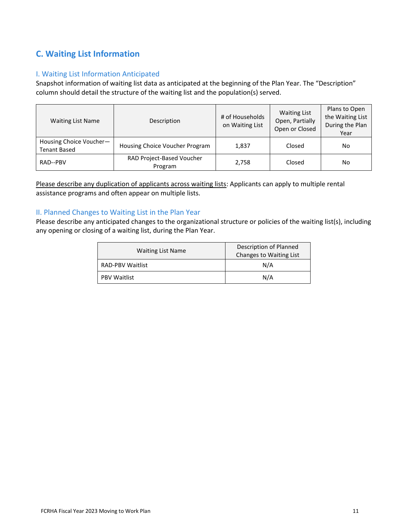## **C. Waiting List Information**

#### I. Waiting List Information Anticipated

Snapshot information of waiting list data as anticipated at the beginning of the Plan Year. The "Description" column should detail the structure of the waiting list and the population(s) served.

| <b>Waiting List Name</b>                       | Description                          | # of Households<br>on Waiting List | <b>Waiting List</b><br>Open, Partially<br>Open or Closed | Plans to Open<br>the Waiting List<br>During the Plan<br>Year |
|------------------------------------------------|--------------------------------------|------------------------------------|----------------------------------------------------------|--------------------------------------------------------------|
| Housing Choice Voucher-<br><b>Tenant Based</b> | Housing Choice Voucher Program       | 1,837                              | Closed                                                   | No                                                           |
| RAD--PBV                                       | RAD Project-Based Voucher<br>Program | 2,758                              | Closed                                                   | No                                                           |

Please describe any duplication of applicants across waiting lists: Applicants can apply to multiple rental assistance programs and often appear on multiple lists.

#### II. Planned Changes to Waiting List in the Plan Year

Please describe any anticipated changes to the organizational structure or policies of the waiting list(s), including any opening or closing of a waiting list, during the Plan Year.

| <b>Waiting List Name</b> | Description of Planned<br>Changes to Waiting List |  |
|--------------------------|---------------------------------------------------|--|
| RAD-PBV Waitlist         | N/A                                               |  |
| <b>PBV Waitlist</b>      | N/A                                               |  |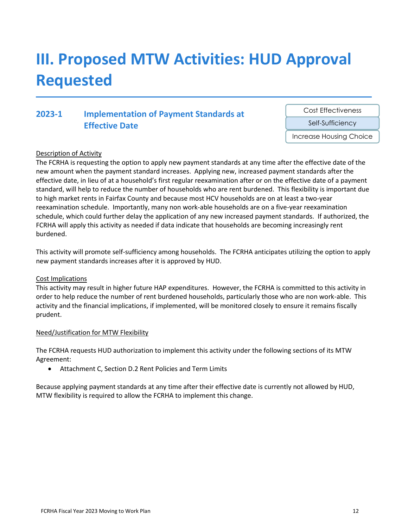# <span id="page-11-0"></span>**III. Proposed MTW Activities: HUD Approval Requested**

## **2023-1 Implementation of Payment Standards at Effective Date**

Cost Effectiveness

Self-Sufficiency

Increase Housing Choice

#### Description of Activity

The FCRHA is requesting the option to apply new payment standards at any time after the effective date of the new amount when the payment standard increases. Applying new, increased payment standards after the effective date, in lieu of at a household's first regular reexamination after or on the effective date of a payment standard, will help to reduce the number of households who are rent burdened. This flexibility is important due to high market rents in Fairfax County and because most HCV households are on at least a two-year reexamination schedule. Importantly, many non work-able households are on a five-year reexamination schedule, which could further delay the application of any new increased payment standards. If authorized, the FCRHA will apply this activity as needed if data indicate that households are becoming increasingly rent burdened.

This activity will promote self-sufficiency among households. The FCRHA anticipates utilizing the option to apply new payment standards increases after it is approved by HUD.

#### Cost Implications

This activity may result in higher future HAP expenditures. However, the FCRHA is committed to this activity in order to help reduce the number of rent burdened households, particularly those who are non work-able. This activity and the financial implications, if implemented, will be monitored closely to ensure it remains fiscally prudent.

#### Need/Justification for MTW Flexibility

The FCRHA requests HUD authorization to implement this activity under the following sections of its MTW Agreement:

• Attachment C, Section D.2 Rent Policies and Term Limits

Because applying payment standards at any time after their effective date is currently not allowed by HUD, MTW flexibility is required to allow the FCRHA to implement this change.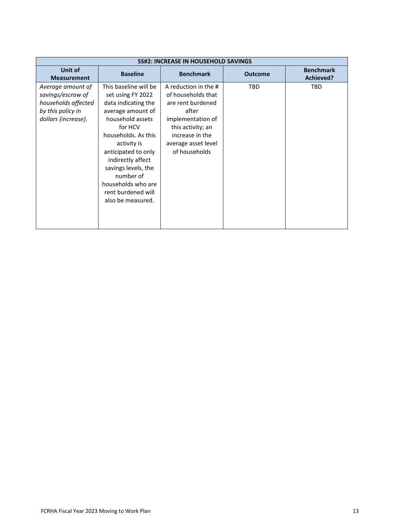| <b>SS#2: INCREASE IN HOUSEHOLD SAVINGS</b>                                                                |                                                                                                                                                                                                                                                                                                              |                                                                                                                                                                               |                |                                      |  |  |
|-----------------------------------------------------------------------------------------------------------|--------------------------------------------------------------------------------------------------------------------------------------------------------------------------------------------------------------------------------------------------------------------------------------------------------------|-------------------------------------------------------------------------------------------------------------------------------------------------------------------------------|----------------|--------------------------------------|--|--|
| <b>Unit of</b><br><b>Measurement</b>                                                                      | <b>Baseline</b>                                                                                                                                                                                                                                                                                              | <b>Benchmark</b>                                                                                                                                                              | <b>Outcome</b> | <b>Benchmark</b><br><b>Achieved?</b> |  |  |
| Average amount of<br>savings/escrow of<br>households affected<br>by this policy in<br>dollars (increase). | This baseline will be<br>set using FY 2022<br>data indicating the<br>average amount of<br>household assets<br>for HCV<br>households. As this<br>activity is<br>anticipated to only<br>indirectly affect<br>savings levels, the<br>number of<br>households who are<br>rent burdened will<br>also be measured. | A reduction in the #<br>of households that<br>are rent burdened<br>after<br>implementation of<br>this activity; an<br>increase in the<br>average asset level<br>of households | <b>TBD</b>     | <b>TBD</b>                           |  |  |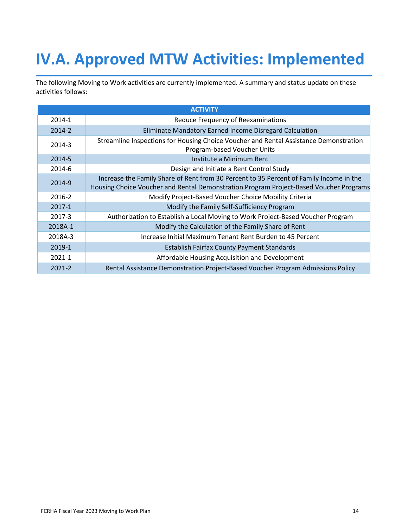# <span id="page-13-0"></span>**IV.A. Approved MTW Activities: Implemented**

The following Moving to Work activities are currently implemented. A summary and status update on these activities follows:

|            | <b>ACTIVITY</b>                                                                                                      |
|------------|----------------------------------------------------------------------------------------------------------------------|
| $2014 - 1$ | Reduce Frequency of Reexaminations                                                                                   |
| 2014-2     | Eliminate Mandatory Earned Income Disregard Calculation                                                              |
| 2014-3     | Streamline Inspections for Housing Choice Voucher and Rental Assistance Demonstration<br>Program-based Voucher Units |
| 2014-5     | Institute a Minimum Rent                                                                                             |
| 2014-6     | Design and Initiate a Rent Control Study                                                                             |
| 2014-9     | Increase the Family Share of Rent from 30 Percent to 35 Percent of Family Income in the                              |
|            | Housing Choice Voucher and Rental Demonstration Program Project-Based Voucher Programs                               |
| 2016-2     | Modify Project-Based Voucher Choice Mobility Criteria                                                                |
| 2017-1     | Modify the Family Self-Sufficiency Program                                                                           |
| 2017-3     | Authorization to Establish a Local Moving to Work Project-Based Voucher Program                                      |
| 2018A-1    | Modify the Calculation of the Family Share of Rent                                                                   |
| 2018A-3    | Increase Initial Maximum Tenant Rent Burden to 45 Percent                                                            |
| 2019-1     | <b>Establish Fairfax County Payment Standards</b>                                                                    |
| $2021 - 1$ | Affordable Housing Acquisition and Development                                                                       |
| $2021 - 2$ | Rental Assistance Demonstration Project-Based Voucher Program Admissions Policy                                      |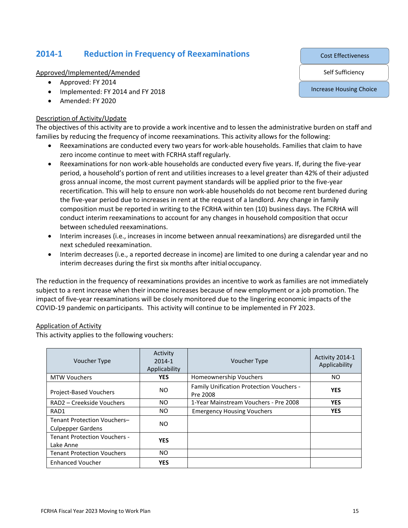## **2014-1 Reduction in Frequency of Reexaminations**

Approved/Implemented/Amended

- Approved: FY 2014
- Implemented: FY 2014 and FY 2018
- Amended: FY 2020

#### Description of Activity/Update

The objectives of this activity are to provide a work incentive and to lessen the administrative burden on staff and families by reducing the frequency of income reexaminations. This activity allows for the following:

- Reexaminations are conducted every two years for work-able households. Families that claim to have zero income continue to meet with FCRHA staff regularly.
- Reexaminations for non work-able households are conducted every five years. If, during the five-year period, a household's portion of rent and utilities increases to a level greater than 42% of their adjusted gross annual income, the most current payment standards will be applied prior to the five-year recertification. This will help to ensure non work-able households do not become rent burdened during the five-year period due to increases in rent at the request of a landlord. Any change in family composition must be reported in writing to the FCRHA within ten (10) business days. The FCRHA will conduct interim reexaminations to account for any changes in household composition that occur between scheduled reexaminations.
- Interim increases (i.e., increases in income between annual reexaminations) are disregarded until the next scheduled reexamination.
- Interim decreases (i.e., a reported decrease in income) are limited to one during a calendar year and no interim decreases during the first six months after initial occupancy.

The reduction in the frequency of reexaminations provides an incentive to work as families are not immediately subject to a rent increase when their income increases because of new employment or a job promotion. The impact of five-year reexaminations will be closely monitored due to the lingering economic impacts of the COVID-19 pandemic on participants. This activity will continue to be implemented in FY 2023.

#### Application of Activity

This activity applies to the following vouchers:

| <b>Voucher Type</b>                                     | Activity<br>$2014 - 1$<br>Applicability | <b>Voucher Type</b>                                  | Activity 2014-1<br>Applicability |
|---------------------------------------------------------|-----------------------------------------|------------------------------------------------------|----------------------------------|
| <b>MTW Vouchers</b>                                     | <b>YES</b>                              | Homeownership Vouchers                               | NO.                              |
| Project-Based Vouchers                                  | NO.                                     | Family Unification Protection Vouchers -<br>Pre 2008 | <b>YES</b>                       |
| RAD2 – Creekside Vouchers                               | NO.                                     | 1-Year Mainstream Vouchers - Pre 2008                | <b>YES</b>                       |
| RAD1                                                    | NO.                                     | <b>Emergency Housing Vouchers</b>                    | <b>YES</b>                       |
| Tenant Protection Vouchers-<br><b>Culpepper Gardens</b> | NO.                                     |                                                      |                                  |
| <b>Tenant Protection Vouchers -</b><br>Lake Anne        | <b>YES</b>                              |                                                      |                                  |
| <b>Tenant Protection Vouchers</b>                       | NO.                                     |                                                      |                                  |
| <b>Enhanced Voucher</b>                                 | <b>YES</b>                              |                                                      |                                  |

Cost Effectiveness

Self Sufficiency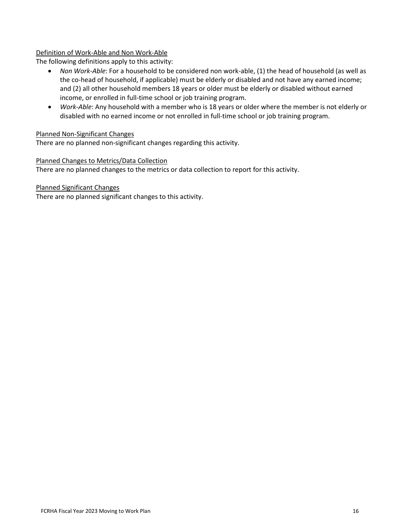#### Definition of Work-Able and Non Work-Able

The following definitions apply to this activity:

- *Non Work-Able*: For a household to be considered non work-able, (1) the head of household (as well as the co-head of household, if applicable) must be elderly or disabled and not have any earned income; and (2) all other household members 18 years or older must be elderly or disabled without earned income, or enrolled in full-time school or job training program.
- *Work-Able*: Any household with a member who is 18 years or older where the member is not elderly or disabled with no earned income or not enrolled in full-time school or job training program.

#### Planned Non-Significant Changes

There are no planned non-significant changes regarding this activity.

#### Planned Changes to Metrics/Data Collection

There are no planned changes to the metrics or data collection to report for this activity.

Planned Significant Changes

There are no planned significant changes to this activity.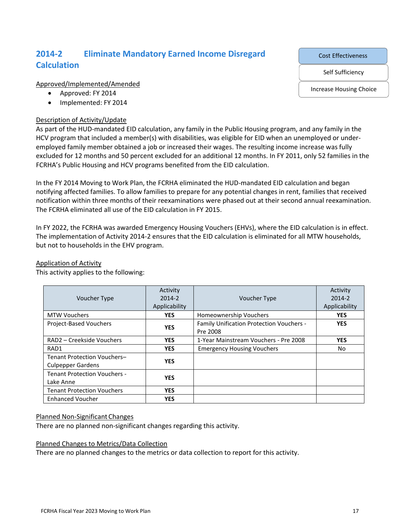## **2014-2 Eliminate Mandatory Earned Income Disregard Calculation**

Approved/Implemented/Amended

- Approved: FY 2014
- Implemented: FY 2014

#### Description of Activity/Update

As part of the HUD-mandated EID calculation, any family in the Public Housing program, and any family in the HCV program that included a member(s) with disabilities, was eligible for EID when an unemployed or underemployed family member obtained a job or increased their wages. The resulting income increase was fully excluded for 12 months and 50 percent excluded for an additional 12 months. In FY 2011, only 52 families in the FCRHA's Public Housing and HCV programs benefited from the EID calculation.

In the FY 2014 Moving to Work Plan, the FCRHA eliminated the HUD-mandated EID calculation and began notifying affected families. To allow families to prepare for any potential changes in rent, families that received notification within three months of their reexaminations were phased out at their second annual reexamination. The FCRHA eliminated all use of the EID calculation in FY 2015.

In FY 2022, the FCRHA was awarded Emergency Housing Vouchers (EHVs), where the EID calculation is in effect. The implementation of Activity 2014-2 ensures that the EID calculation is eliminated for all MTW households, but not to households in the EHV program.

#### Voucher Type Activity 2014-2 Applicability Voucher Type Activity 2014-2 Applicability MTW Vouchers **YES** Homeownership Vouchers **YES** Project-Based Vouchers **YES** Family Unification Protection Vouchers -Pre 2008 **YES** RAD2 – Creekside Vouchers **YES** 1-Year Mainstream Vouchers - Pre 2008 **YES** RAD1 **YES** Emergency Housing Vouchers No Tenant Protection Vouchers– Culpepper Gardens **YES** Tenant Protection Vouchers - Lake Anne **YES** Tenant Protection Vouchers **YES** Enhanced Voucher **YES**

#### Application of Activity

This activity applies to the following:

#### Planned Non-Significant Changes

There are no planned non-significant changes regarding this activity.

#### Planned Changes to Metrics/Data Collection

There are no planned changes to the metrics or data collection to report for this activity.

Cost Effectiveness

Self Sufficiency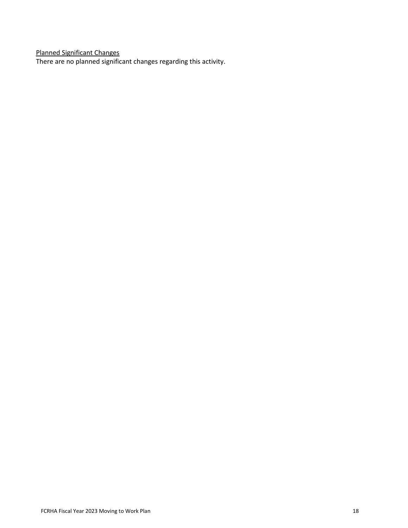Planned Significant Changes

There are no planned significant changes regarding this activity.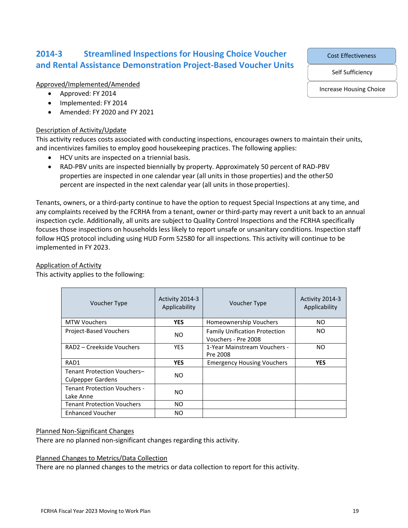## **2014-3 Streamlined Inspections for Housing Choice Voucher and Rental Assistance Demonstration Project-Based Voucher Units**

Approved/Implemented/Amended

- Approved: FY 2014
- Implemented: FY 2014
- Amended: FY 2020 and FY 2021

#### Description of Activity/Update

This activity reduces costs associated with conducting inspections, encourages owners to maintain their units, and incentivizes families to employ good housekeeping practices. The following applies:

- HCV units are inspected on a triennial basis.
- RAD-PBV units are inspected biennially by property. Approximately 50 percent of RAD-PBV properties are inspected in one calendar year (all units in those properties) and the other50 percent are inspected in the next calendar year (all units in those properties).

Tenants, owners, or a third-party continue to have the option to request Special Inspections at any time, and any complaints received by the FCRHA from a tenant, owner or third-party may revert a unit back to an annual inspection cycle. Additionally, all units are subject to Quality Control Inspections and the FCRHA specifically focuses those inspections on households less likely to report unsafe or unsanitary conditions. Inspection staff follow HQS protocol including using HUD Form 52580 for all inspections. This activity will continue to be implemented in FY 2023.

#### Application of Activity

This activity applies to the following:

| Voucher Type                                            | Activity 2014-3<br>Applicability | <b>Voucher Type</b>                                         | Activity 2014-3<br>Applicability |
|---------------------------------------------------------|----------------------------------|-------------------------------------------------------------|----------------------------------|
| <b>MTW Vouchers</b>                                     | <b>YES</b>                       | Homeownership Vouchers                                      | NO.                              |
| <b>Project-Based Vouchers</b>                           | NO.                              | <b>Family Unification Protection</b><br>Vouchers - Pre 2008 | NO.                              |
| RAD2 – Creekside Vouchers                               | <b>YES</b>                       | 1-Year Mainstream Vouchers -<br>Pre 2008                    | NO.                              |
| RAD1                                                    | <b>YES</b>                       | <b>Emergency Housing Vouchers</b>                           | <b>YES</b>                       |
| Tenant Protection Vouchers-<br><b>Culpepper Gardens</b> | NO.                              |                                                             |                                  |
| <b>Tenant Protection Vouchers -</b><br>Lake Anne        | NO.                              |                                                             |                                  |
| <b>Tenant Protection Vouchers</b>                       | NO.                              |                                                             |                                  |
| <b>Enhanced Voucher</b>                                 | NO.                              |                                                             |                                  |

#### Planned Non-Significant Changes

There are no planned non-significant changes regarding this activity.

#### Planned Changes to Metrics/Data Collection

There are no planned changes to the metrics or data collection to report for this activity.

Cost Effectiveness

Self Sufficiency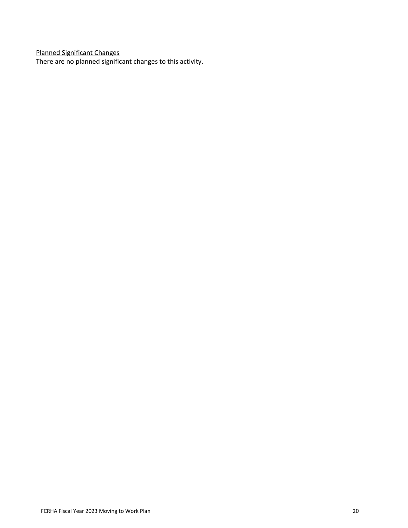Planned Significant Changes

There are no planned significant changes to this activity.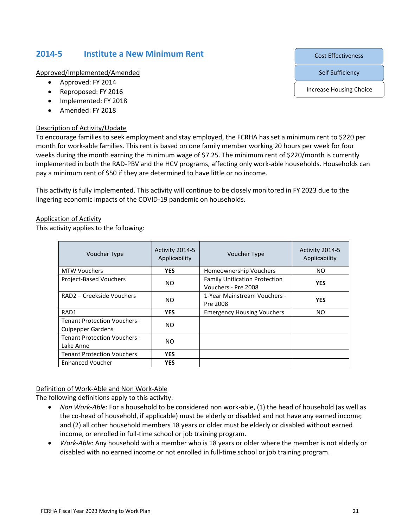### **2014-5 Institute a New Minimum Rent**

Approved/Implemented/Amended

- Approved: FY 2014
- Reproposed: FY 2016
- Implemented: FY 2018
- Amended: FY 2018

#### Description of Activity/Update

To encourage families to seek employment and stay employed, the FCRHA has set a minimum rent to \$220 per month for work-able families. This rent is based on one family member working 20 hours per week for four weeks during the month earning the minimum wage of \$7.25. The minimum rent of \$220/month is currently implemented in both the RAD-PBV and the HCV programs, affecting only work-able households. Households can pay a minimum rent of \$50 if they are determined to have little or no income.

This activity is fully implemented. This activity will continue to be closely monitored in FY 2023 due to the lingering economic impacts of the COVID-19 pandemic on households.

#### Application of Activity

This activity applies to the following:

| Voucher Type                                            | Activity 2014-5<br>Applicability | Voucher Type                                                | Activity 2014-5<br>Applicability |
|---------------------------------------------------------|----------------------------------|-------------------------------------------------------------|----------------------------------|
| <b>MTW Vouchers</b>                                     | <b>YES</b>                       | Homeownership Vouchers                                      | NO.                              |
| <b>Project-Based Vouchers</b>                           | N <sub>O</sub>                   | <b>Family Unification Protection</b><br>Vouchers - Pre 2008 | <b>YES</b>                       |
| RAD2 - Creekside Vouchers                               | N <sub>O</sub>                   | 1-Year Mainstream Vouchers -<br>Pre 2008                    | <b>YES</b>                       |
| RAD1                                                    | <b>YES</b>                       | <b>Emergency Housing Vouchers</b>                           | NO.                              |
| Tenant Protection Vouchers-<br><b>Culpepper Gardens</b> | NO.                              |                                                             |                                  |
| <b>Tenant Protection Vouchers -</b><br>Lake Anne        | NO.                              |                                                             |                                  |
| <b>Tenant Protection Vouchers</b>                       | <b>YES</b>                       |                                                             |                                  |
| <b>Enhanced Voucher</b>                                 | <b>YES</b>                       |                                                             |                                  |

#### Definition of Work-Able and Non Work-Able

The following definitions apply to this activity:

- *Non Work-Able*: For a household to be considered non work-able, (1) the head of household (as well as the co-head of household, if applicable) must be elderly or disabled and not have any earned income; and (2) all other household members 18 years or older must be elderly or disabled without earned income, or enrolled in full-time school or job training program.
- *Work-Able*: Any household with a member who is 18 years or older where the member is not elderly or disabled with no earned income or not enrolled in full-time school or job training program.

Cost Effectiveness

Self Sufficiency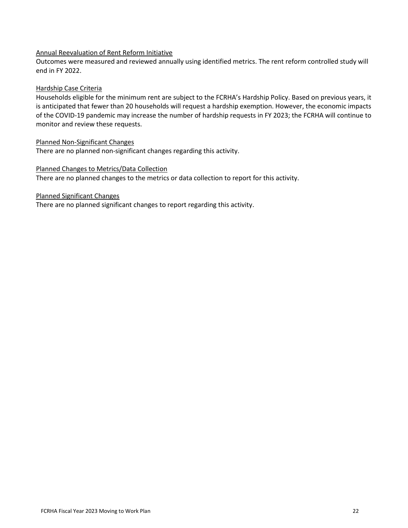#### Annual Reevaluation of Rent Reform Initiative

Outcomes were measured and reviewed annually using identified metrics. The rent reform controlled study will end in FY 2022.

#### Hardship Case Criteria

Households eligible for the minimum rent are subject to the FCRHA's Hardship Policy. Based on previous years, it is anticipated that fewer than 20 households will request a hardship exemption. However, the economic impacts of the COVID-19 pandemic may increase the number of hardship requests in FY 2023; the FCRHA will continue to monitor and review these requests.

#### Planned Non-Significant Changes

There are no planned non-significant changes regarding this activity.

#### Planned Changes to Metrics/Data Collection

There are no planned changes to the metrics or data collection to report for this activity.

#### Planned Significant Changes

There are no planned significant changes to report regarding this activity.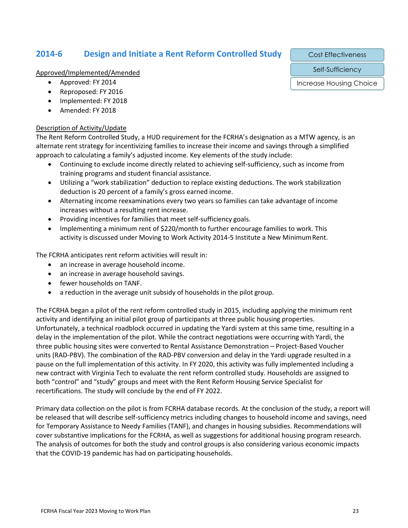## **2014-6 Design and Initiate a Rent Reform Controlled Study**

Approved/Implemented/Amended

- Approved: FY 2014
- Reproposed: FY 2016
- Implemented: FY 2018
- Amended: FY 2018

#### Description of Activity/Update

The Rent Reform Controlled Study, a HUD requirement for the FCRHA's designation as a MTW agency, is an alternate rent strategy for incentivizing families to increase their income and savings through a simplified approach to calculating a family's adjusted income. Key elements of the study include:

- Continuing to exclude income directly related to achieving self-sufficiency, such as income from training programs and student financial assistance.
- Utilizing a "work stabilization" deduction to replace existing deductions. The work stabilization deduction is 20 percent of a family's gross earned income.
- Alternating income reexaminations every two years so families can take advantage of income increases without a resulting rent increase.
- Providing incentives for families that meet self-sufficiency goals.
- Implementing a minimum rent of \$220/month to further encourage families to work. This activity is discussed under Moving to Work Activity 2014-5 Institute a New MinimumRent.

The FCRHA anticipates rent reform activities will result in:

- an increase in average household income.
- an increase in average household savings.
- fewer households on TANF.
- a reduction in the average unit subsidy of households in the pilot group.

The FCRHA began a pilot of the rent reform controlled study in 2015, including applying the minimum rent activity and identifying an initial pilot group of participants at three public housing properties. Unfortunately, a technical roadblock occurred in updating the Yardi system at this same time, resulting in a delay in the implementation of the pilot. While the contract negotiations were occurring with Yardi, the three public housing sites were converted to Rental Assistance Demonstration – Project-Based Voucher units (RAD-PBV). The combination of the RAD-PBV conversion and delay in the Yardi upgrade resulted in a pause on the full implementation of this activity. In FY 2020, this activity was fully implemented including a new contract with Virginia Tech to evaluate the rent reform controlled study. Households are assigned to both "control" and "study" groups and meet with the Rent Reform Housing Service Specialist for recertifications. The study will conclude by the end of FY 2022.

Primary data collection on the pilot is from FCRHA database records. At the conclusion of the study, a report will be released that will describe self-sufficiency metrics including changes to household income and savings, need for Temporary Assistance to Needy Families (TANF), and changes in housing subsidies. Recommendations will cover substantive implications for the FCRHA, as well as suggestions for additional housing program research. The analysis of outcomes for both the study and control groups is also considering various economic impacts that the COVID-19 pandemic has had on participating households.

Cost Effectiveness

Self-Sufficiency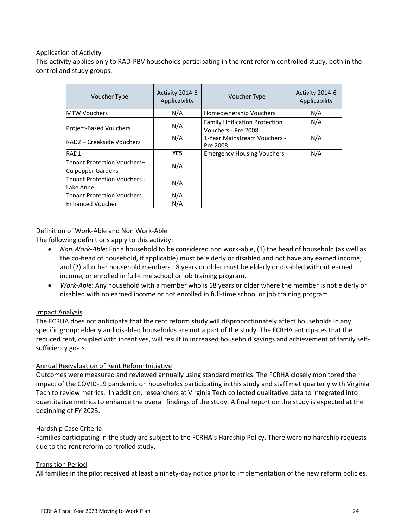#### Application of Activity

This activity applies only to RAD-PBV households participating in the rent reform controlled study, both in the control and study groups.

| Voucher Type                                            | Activity 2014-6<br>Applicability | Voucher Type                                                | Activity 2014-6<br>Applicability |
|---------------------------------------------------------|----------------------------------|-------------------------------------------------------------|----------------------------------|
| <b>MTW Vouchers</b>                                     | N/A                              | Homeownership Vouchers                                      | N/A                              |
| Project-Based Vouchers                                  | N/A                              | <b>Family Unification Protection</b><br>Vouchers - Pre 2008 | N/A                              |
| RAD2 – Creekside Vouchers                               | N/A                              | 1-Year Mainstream Vouchers -<br>Pre 2008                    | N/A                              |
| RAD1                                                    | <b>YES</b>                       | <b>Emergency Housing Vouchers</b>                           | N/A                              |
| Tenant Protection Vouchers-<br><b>Culpepper Gardens</b> | N/A                              |                                                             |                                  |
| Tenant Protection Vouchers -<br>Lake Anne               | N/A                              |                                                             |                                  |
| <b>Tenant Protection Vouchers</b>                       | N/A                              |                                                             |                                  |
| <b>Enhanced Voucher</b>                                 | N/A                              |                                                             |                                  |

#### Definition of Work-Able and Non Work-Able

The following definitions apply to this activity:

- *Non Work-Able*: For a household to be considered non work-able, (1) the head of household (as well as the co-head of household, if applicable) must be elderly or disabled and not have any earned income; and (2) all other household members 18 years or older must be elderly or disabled without earned income, or enrolled in full-time school or job training program.
- *Work-Able*: Any household with a member who is 18 years or older where the member is not elderly or disabled with no earned income or not enrolled in full-time school or job training program.

#### Impact Analysis

The FCRHA does not anticipate that the rent reform study will disproportionately affect households in any specific group; elderly and disabled households are not a part of the study. The FCRHA anticipates that the reduced rent, coupled with incentives, will result in increased household savings and achievement of family selfsufficiency goals.

#### Annual Reevaluation of Rent Reform Initiative

Outcomes were measured and reviewed annually using standard metrics. The FCRHA closely monitored the impact of the COVID-19 pandemic on households participating in this study and staff met quarterly with Virginia Tech to review metrics. In addition, researchers at Virginia Tech collected qualitative data to integrated into quantitative metrics to enhance the overall findings of the study. A final report on the study is expected at the beginning of FY 2023.

#### Hardship Case Criteria

Families participating in the study are subject to the FCRHA's Hardship Policy. There were no hardship requests due to the rent reform controlled study.

#### Transition Period

All families in the pilot received at least a ninety-day notice prior to implementation of the new reform policies.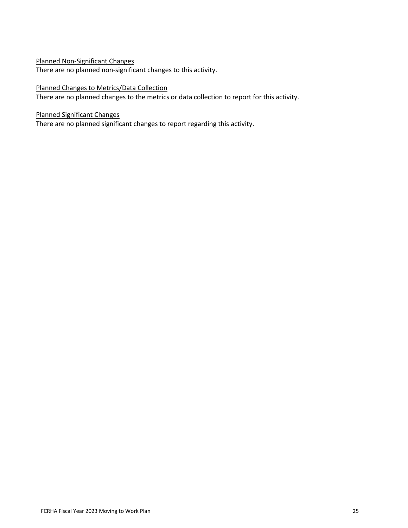#### Planned Non-Significant Changes

There are no planned non-significant changes to this activity.

#### Planned Changes to Metrics/Data Collection

There are no planned changes to the metrics or data collection to report for this activity.

#### Planned Significant Changes

There are no planned significant changes to report regarding this activity.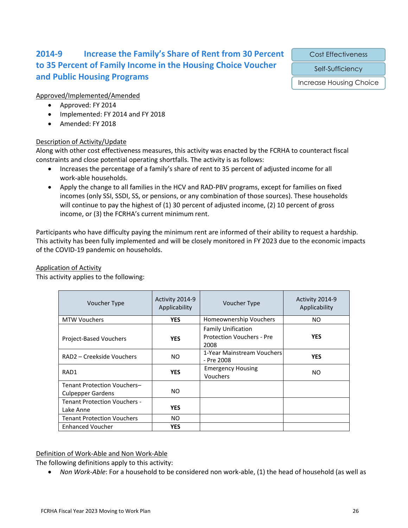## **2014-9 Increase the Family's Share of Rent from 30 Percent to 35 Percent of Family Income in the Housing Choice Voucher and Public Housing Programs**

Cost Effectiveness

Self-Sufficiency

Increase Housing Choice

#### Approved/Implemented/Amended

- Approved: FY 2014
- Implemented: FY 2014 and FY 2018
- Amended: FY 2018

#### Description of Activity/Update

Along with other cost effectiveness measures, this activity was enacted by the FCRHA to counteract fiscal constraints and close potential operating shortfalls. The activity is as follows:

- Increases the percentage of a family's share of rent to 35 percent of adjusted income for all work-able households.
- Apply the change to all families in the HCV and RAD-PBV programs, except for families on fixed incomes (only SSI, SSDI, SS, or pensions, or any combination of those sources). These households will continue to pay the highest of (1) 30 percent of adjusted income, (2) 10 percent of gross income, or (3) the FCRHA's current minimum rent.

Participants who have difficulty paying the minimum rent are informed of their ability to request a hardship. This activity has been fully implemented and will be closely monitored in FY 2023 due to the economic impacts of the COVID-19 pandemic on households.

#### Application of Activity

This activity applies to the following:

| <b>Voucher Type</b>                 | Activity 2014-9<br>Applicability | Voucher Type                                                          | Activity 2014-9<br>Applicability |
|-------------------------------------|----------------------------------|-----------------------------------------------------------------------|----------------------------------|
| <b>MTW Vouchers</b>                 | <b>YES</b>                       | Homeownership Vouchers                                                | NO                               |
| Project-Based Vouchers              | <b>YES</b>                       | <b>Family Unification</b><br><b>Protection Vouchers - Pre</b><br>2008 | <b>YES</b>                       |
| RAD2 – Creekside Vouchers           | NO.                              | 1-Year Mainstream Vouchers<br>- Pre 2008                              | <b>YES</b>                       |
| RAD1                                | <b>YES</b>                       | <b>Emergency Housing</b><br>Vouchers                                  | NO.                              |
| Tenant Protection Vouchers-         |                                  |                                                                       |                                  |
| <b>Culpepper Gardens</b>            | NO.                              |                                                                       |                                  |
| <b>Tenant Protection Vouchers -</b> |                                  |                                                                       |                                  |
| Lake Anne                           | <b>YES</b>                       |                                                                       |                                  |
| <b>Tenant Protection Vouchers</b>   | NO.                              |                                                                       |                                  |
| <b>Enhanced Voucher</b>             | <b>YES</b>                       |                                                                       |                                  |

#### Definition of Work-Able and Non Work-Able

The following definitions apply to this activity:

• *Non Work-Able*: For a household to be considered non work-able, (1) the head of household (as well as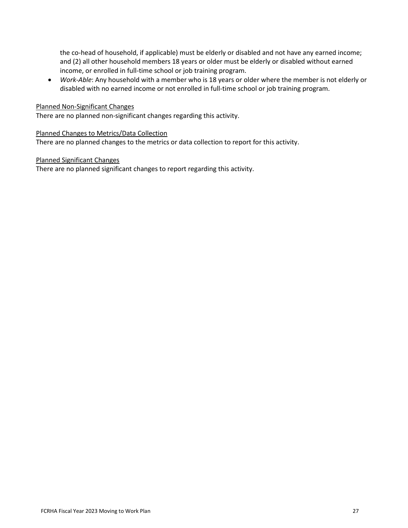the co-head of household, if applicable) must be elderly or disabled and not have any earned income; and (2) all other household members 18 years or older must be elderly or disabled without earned income, or enrolled in full-time school or job training program.

• *Work-Able*: Any household with a member who is 18 years or older where the member is not elderly or disabled with no earned income or not enrolled in full-time school or job training program.

#### Planned Non-Significant Changes

There are no planned non-significant changes regarding this activity.

#### Planned Changes to Metrics/Data Collection

There are no planned changes to the metrics or data collection to report for this activity.

#### Planned Significant Changes

There are no planned significant changes to report regarding this activity.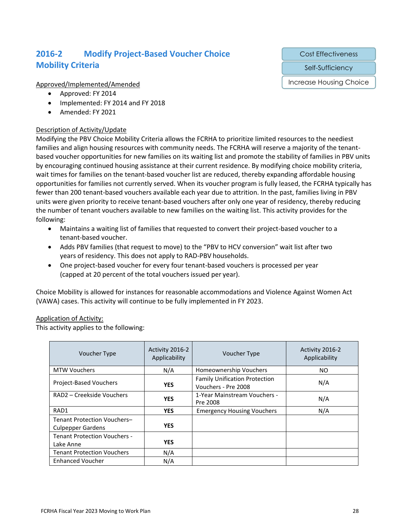## **2016-2 Modify Project-Based Voucher Choice Mobility Criteria**

#### Approved/Implemented/Amended

- Approved: FY 2014
- Implemented: FY 2014 and FY 2018
- Amended: FY 2021

#### Description of Activity/Update

Modifying the PBV Choice Mobility Criteria allows the FCRHA to prioritize limited resources to the neediest families and align housing resources with community needs. The FCRHA will reserve a majority of the tenantbased voucher opportunities for new families on its waiting list and promote the stability of families in PBV units by encouraging continued housing assistance at their current residence. By modifying choice mobility criteria, wait times for families on the tenant-based voucher list are reduced, thereby expanding affordable housing opportunities for families not currently served. When its voucher program is fully leased, the FCRHA typically has fewer than 200 tenant-based vouchers available each year due to attrition. In the past, families living in PBV units were given priority to receive tenant-based vouchers after only one year of residency, thereby reducing the number of tenant vouchers available to new families on the waiting list. This activity provides for the following:

- Maintains a waiting list of families that requested to convert their project-based voucher to a tenant-based voucher.
- Adds PBV families (that request to move) to the "PBV to HCV conversion" wait list after two years of residency. This does not apply to RAD-PBV households.
- One project-based voucher for every four tenant-based vouchers is processed per year (capped at 20 percent of the total vouchers issued per year).

Choice Mobility is allowed for instances for reasonable accommodations and Violence Against Women Act (VAWA) cases. This activity will continue to be fully implemented in FY 2023.

#### Application of Activity:

This activity applies to the following:

| Voucher Type                                            | Activity 2016-2<br>Applicability | Voucher Type                                                | Activity 2016-2<br>Applicability |
|---------------------------------------------------------|----------------------------------|-------------------------------------------------------------|----------------------------------|
| <b>MTW Vouchers</b>                                     | N/A                              | Homeownership Vouchers                                      | NO.                              |
| Project-Based Vouchers                                  | <b>YES</b>                       | <b>Family Unification Protection</b><br>Vouchers - Pre 2008 | N/A                              |
| RAD2 - Creekside Vouchers                               | <b>YES</b>                       | 1-Year Mainstream Vouchers -<br>Pre 2008                    | N/A                              |
| RAD1                                                    | <b>YES</b>                       | <b>Emergency Housing Vouchers</b>                           | N/A                              |
| Tenant Protection Vouchers-<br><b>Culpepper Gardens</b> | <b>YES</b>                       |                                                             |                                  |
| <b>Tenant Protection Vouchers -</b><br>Lake Anne        | <b>YES</b>                       |                                                             |                                  |
| <b>Tenant Protection Vouchers</b>                       | N/A                              |                                                             |                                  |
| <b>Enhanced Voucher</b>                                 | N/A                              |                                                             |                                  |

Cost Effectiveness

Self-Sufficiency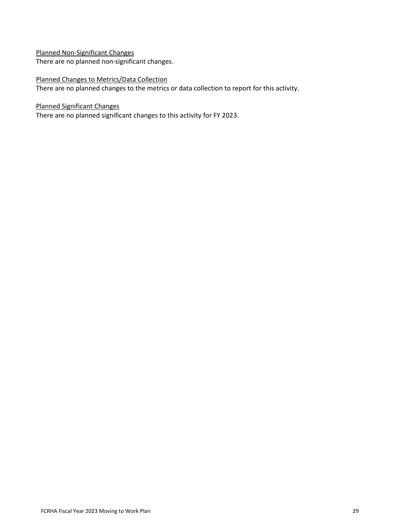Planned Non-Significant Changes There are no planned non-significant changes.

Planned Changes to Metrics/Data Collection There are no planned changes to the metrics or data collection to report for this activity.

Planned Significant Changes

There are no planned significant changes to this activity for FY 2023.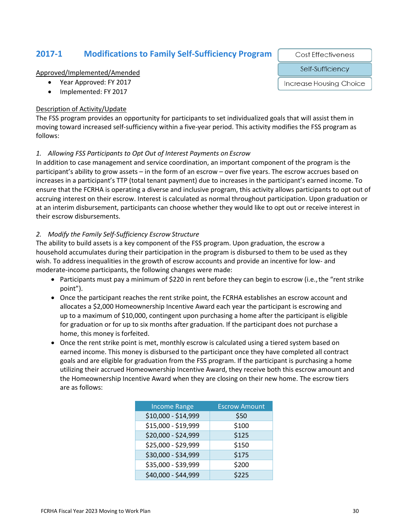### **2017-1 Modifications to Family Self-Sufficiency Program**

Approved/Implemented/Amended

- Year Approved: FY 2017
- Implemented: FY 2017

#### Description of Activity/Update

The FSS program provides an opportunity for participants to set individualized goals that will assist them in moving toward increased self-sufficiency within a five-year period. This activity modifies the FSS program as follows:

#### *1. Allowing FSS Participants to Opt Out of Interest Payments on Escrow*

In addition to case management and service coordination, an important component of the program is the participant's ability to grow assets – in the form of an escrow – over five years. The escrow accrues based on increases in a participant's TTP (total tenant payment) due to increases in the participant's earned income. To ensure that the FCRHA is operating a diverse and inclusive program, this activity allows participants to opt out of accruing interest on their escrow. Interest is calculated as normal throughout participation. Upon graduation or at an interim disbursement, participants can choose whether they would like to opt out or receive interest in their escrow disbursements.

#### *2. Modify the Family Self-Sufficiency Escrow Structure*

The ability to build assets is a key component of the FSS program. Upon graduation, the escrow a household accumulates during their participation in the program is disbursed to them to be used as they wish. To address inequalities in the growth of escrow accounts and provide an incentive for low- and moderate-income participants, the following changes were made:

- Participants must pay a minimum of \$220 in rent before they can begin to escrow (i.e., the "rent strike point").
- Once the participant reaches the rent strike point, the FCRHA establishes an escrow account and allocates a \$2,000 Homeownership Incentive Award each year the participant is escrowing and up to a maximum of \$10,000, contingent upon purchasing a home after the participant is eligible for graduation or for up to six months after graduation. If the participant does not purchase a home, this money is forfeited.
- Once the rent strike point is met, monthly escrow is calculated using a tiered system based on earned income. This money is disbursed to the participant once they have completed all contract goals and are eligible for graduation from the FSS program. If the participant is purchasing a home utilizing their accrued Homeownership Incentive Award, they receive both this escrow amount and the Homeownership Incentive Award when they are closing on their new home. The escrow tiers are as follows:

| <b>Income Range</b> | <b>Escrow Amount</b> |
|---------------------|----------------------|
| \$10,000 - \$14,999 | \$50                 |
| \$15,000 - \$19,999 | \$100                |
| \$20,000 - \$24,999 | \$125                |
| \$25,000 - \$29,999 | \$150                |
| \$30,000 - \$34,999 | \$175                |
| \$35,000 - \$39,999 | \$200                |
| \$40,000 - \$44,999 | \$225                |

**Cost Effectiveness** 

Self-Sufficiency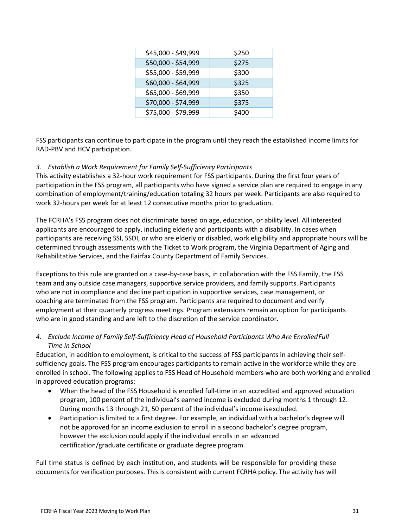| \$45,000 - \$49,999 | \$250 |
|---------------------|-------|
| \$50,000 - \$54,999 | \$275 |
| \$55,000 - \$59,999 | \$300 |
| \$60,000 - \$64,999 | \$325 |
| \$65,000 - \$69,999 | \$350 |
| \$70,000 - \$74,999 | \$375 |
| \$75,000 - \$79,999 | \$400 |

FSS participants can continue to participate in the program until they reach the established income limits for RAD-PBV and HCV participation.

#### *3. Establish a Work Requirement for Family Self-Sufficiency Participants*

This activity establishes a 32-hour work requirement for FSS participants. During the first four years of participation in the FSS program, all participants who have signed a service plan are required to engage in any combination of employment/training/education totaling 32 hours per week. Participants are also required to work 32-hours per week for at least 12 consecutive months prior to graduation.

The FCRHA's FSS program does not discriminate based on age, education, or ability level. All interested applicants are encouraged to apply, including elderly and participants with a disability. In cases when participants are receiving SSI, SSDI, or who are elderly or disabled, work eligibility and appropriate hours will be determined through assessments with the Ticket to Work program, the Virginia Department of Aging and Rehabilitative Services, and the Fairfax County Department of Family Services.

Exceptions to this rule are granted on a case-by-case basis, in collaboration with the FSS Family, the FSS team and any outside case managers, supportive service providers, and family supports. Participants who are not in compliance and decline participation in supportive services, case management, or coaching are terminated from the FSS program. Participants are required to document and verify employment at their quarterly progress meetings. Program extensions remain an option for participants who are in good standing and are left to the discretion of the service coordinator.

#### *4. Exclude Income of Family Self-Sufficiency Head of Household Participants Who Are EnrolledFull Time in School*

Education, in addition to employment, is critical to the success of FSS participants in achieving their selfsufficiency goals. The FSS program encourages participants to remain active in the workforce while they are enrolled in school. The following applies to FSS Head of Household members who are both working and enrolled in approved education programs:

- When the head of the FSS Household is enrolled full-time in an accredited and approved education program, 100 percent of the individual's earned income is excluded during months 1 through 12. During months 13 through 21, 50 percent of the individual's income isexcluded.
- Participation is limited to a first degree. For example, an individual with a bachelor's degree will not be approved for an income exclusion to enroll in a second bachelor's degree program, however the exclusion could apply if the individual enrolls in an advanced certification/graduate certificate or graduate degree program.

Full time status is defined by each institution, and students will be responsible for providing these documents for verification purposes. This is consistent with current FCRHA policy. The activity has will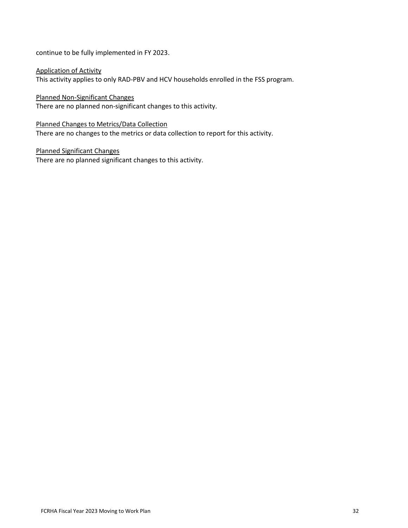continue to be fully implemented in FY 2023.

Application of Activity This activity applies to only RAD-PBV and HCV households enrolled in the FSS program.

Planned Non-Significant Changes There are no planned non-significant changes to this activity.

Planned Changes to Metrics/Data Collection There are no changes to the metrics or data collection to report for this activity.

Planned Significant Changes There are no planned significant changes to this activity.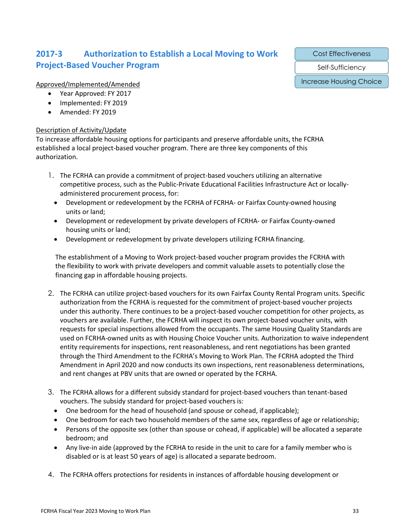## **2017-3 Authorization to Establish a Local Moving to Work Project-Based Voucher Program**

Cost Effectiveness

Self-Sufficiency

Increase Housing Choice

#### Approved/Implemented/Amended

- Year Approved: FY 2017
- Implemented: FY 2019
- Amended: FY 2019

#### Description of Activity/Update

To increase affordable housing options for participants and preserve affordable units, the FCRHA established a local project-based voucher program. There are three key components of this authorization.

- 1. The FCRHA can provide a commitment of project-based vouchers utilizing an alternative competitive process, such as the Public-Private Educational Facilities Infrastructure Act or locallyadministered procurement process, for:
	- Development or redevelopment by the FCRHA of FCRHA- or Fairfax County-owned housing units or land;
	- Development or redevelopment by private developers of FCRHA- or Fairfax County-owned housing units or land;
	- Development or redevelopment by private developers utilizing FCRHA financing.

The establishment of a Moving to Work project-based voucher program provides the FCRHA with the flexibility to work with private developers and commit valuable assets to potentially close the financing gap in affordable housing projects.

- 2. The FCRHA can utilize project-based vouchers for its own Fairfax County Rental Program units. Specific authorization from the FCRHA is requested for the commitment of project-based voucher projects under this authority. There continues to be a project-based voucher competition for other projects, as vouchers are available. Further, the FCRHA will inspect its own project-based voucher units, with requests for special inspections allowed from the occupants. The same Housing Quality Standards are used on FCRHA-owned units as with Housing Choice Voucher units. Authorization to waive independent entity requirements for inspections, rent reasonableness, and rent negotiations has been granted through the Third Amendment to the FCRHA's Moving to Work Plan. The FCRHA adopted the Third Amendment in April 2020 and now conducts its own inspections, rent reasonableness determinations, and rent changes at PBV units that are owned or operated by the FCRHA.
- 3. The FCRHA allows for a different subsidy standard for project-based vouchers than tenant-based vouchers. The subsidy standard for project-based vouchers is:
	- One bedroom for the head of household (and spouse or cohead, if applicable);
	- One bedroom for each two household members of the same sex, regardless of age or relationship;
	- Persons of the opposite sex (other than spouse or cohead, if applicable) will be allocated a separate bedroom; and
	- Any live-in aide (approved by the FCRHA to reside in the unit to care for a family member who is disabled or is at least 50 years of age) is allocated a separate bedroom.
- 4. The FCRHA offers protections for residents in instances of affordable housing development or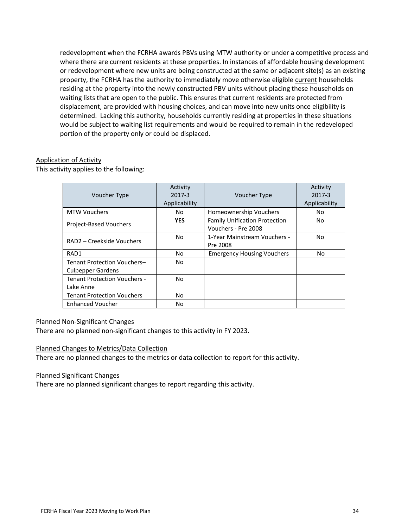redevelopment when the FCRHA awards PBVs using MTW authority or under a competitive process and where there are current residents at these properties. In instances of affordable housing development or redevelopment where new units are being constructed at the same or adjacent site(s) as an existing property, the FCRHA has the authority to immediately move otherwise eligible current households residing at the property into the newly constructed PBV units without placing these households on waiting lists that are open to the public. This ensures that current residents are protected from displacement, are provided with housing choices, and can move into new units once eligibility is determined. Lacking this authority, households currently residing at properties in these situations would be subject to waiting list requirements and would be required to remain in the redeveloped portion of the property only or could be displaced.

#### Application of Activity

This activity applies to the following:

|                                     | Activity      |                                      | Activity      |
|-------------------------------------|---------------|--------------------------------------|---------------|
| <b>Voucher Type</b>                 | 2017-3        | Voucher Type                         | 2017-3        |
|                                     | Applicability |                                      | Applicability |
| <b>MTW Vouchers</b>                 | No.           | Homeownership Vouchers               | No            |
|                                     | <b>YES</b>    | <b>Family Unification Protection</b> | No.           |
| Project-Based Vouchers              |               | Vouchers - Pre 2008                  |               |
| RAD2 – Creekside Vouchers           | No            | 1-Year Mainstream Vouchers -         | No            |
|                                     |               | Pre 2008                             |               |
| RAD1                                | No            | <b>Emergency Housing Vouchers</b>    | <b>No</b>     |
| Tenant Protection Vouchers-         | No            |                                      |               |
| <b>Culpepper Gardens</b>            |               |                                      |               |
| <b>Tenant Protection Vouchers -</b> | No            |                                      |               |
| Lake Anne                           |               |                                      |               |
| <b>Tenant Protection Vouchers</b>   | No            |                                      |               |
| <b>Enhanced Voucher</b>             | No            |                                      |               |

#### Planned Non-Significant Changes

There are no planned non-significant changes to this activity in FY 2023.

#### Planned Changes to Metrics/Data Collection

There are no planned changes to the metrics or data collection to report for this activity.

#### Planned Significant Changes

There are no planned significant changes to report regarding this activity.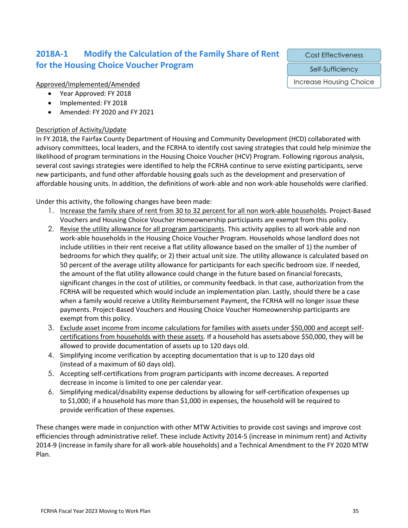## **2018A-1 Modify the Calculation of the Family Share of Rent for the Housing Choice Voucher Program**

#### Approved/Implemented/Amended

- Year Approved: FY 2018
- Implemented: FY 2018
- Amended: FY 2020 and FY 2021

#### Description of Activity/Update

In FY 2018, the Fairfax County Department of Housing and Community Development (HCD) collaborated with advisory committees, local leaders, and the FCRHA to identify cost saving strategies that could help minimize the likelihood of program terminations in the Housing Choice Voucher (HCV) Program. Following rigorous analysis, several cost savings strategies were identified to help the FCRHA continue to serve existing participants, serve new participants, and fund other affordable housing goals such as the development and preservation of affordable housing units. In addition, the definitions of work-able and non work-able households were clarified.

Under this activity, the following changes have been made:

- 1. Increase the family share of rent from 30 to 32 percent for all non work-able households. Project-Based Vouchers and Housing Choice Voucher Homeownership participants are exempt from this policy.
- 2. Revise the utility allowance for all program participants. This activity applies to all work-able and non work-able households in the Housing Choice Voucher Program. Households whose landlord does not include utilities in their rent receive a flat utility allowance based on the smaller of 1) the number of bedrooms for which they qualify; or 2) their actual unit size. The utility allowance is calculated based on 50 percent of the average utility allowance for participants for each specific bedroom size. If needed, the amount of the flat utility allowance could change in the future based on financial forecasts, significant changes in the cost of utilities, or community feedback. In that case, authorization from the FCRHA will be requested which would include an implementation plan. Lastly, should there be a case when a family would receive a Utility Reimbursement Payment, the FCRHA will no longer issue these payments. Project-Based Vouchers and Housing Choice Voucher Homeownership participants are exempt from this policy.
- 3. Exclude asset income from income calculations for families with assets under \$50,000 and accept selfcertifications from households with these assets. If a household has assets above \$50,000, they will be allowed to provide documentation of assets up to 120 days old.
- 4. Simplifying income verification by accepting documentation that is up to 120 days old (instead of a maximum of 60 days old).
- 5. Accepting self-certifications from program participants with income decreases. A reported decrease in income is limited to one per calendar year.
- 6. Simplifying medical/disability expense deductions by allowing for self-certification ofexpenses up to \$1,000; if a household has more than \$1,000 in expenses, the household will be required to provide verification of these expenses.

These changes were made in conjunction with other MTW Activities to provide cost savings and improve cost efficiencies through administrative relief. These include Activity 2014-5 (increase in minimum rent) and Activity 2014-9 (increase in family share for all work-able households) and a Technical Amendment to the FY 2020 MTW Plan.

Cost Effectiveness

Self-Sufficiency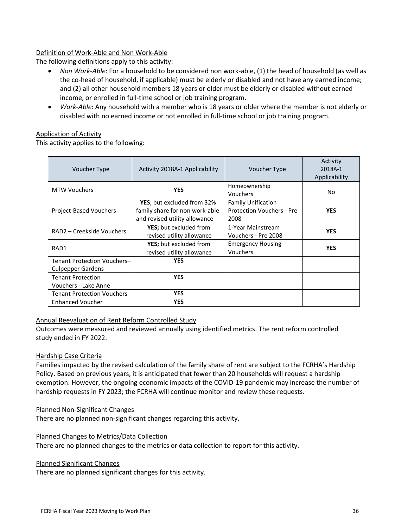#### Definition of Work-Able and Non Work-Able

The following definitions apply to this activity:

- *Non Work-Able*: For a household to be considered non work-able, (1) the head of household (as well as the co-head of household, if applicable) must be elderly or disabled and not have any earned income; and (2) all other household members 18 years or older must be elderly or disabled without earned income, or enrolled in full-time school or job training program.
- *Work-Able*: Any household with a member who is 18 years or older where the member is not elderly or disabled with no earned income or not enrolled in full-time school or job training program.

#### Application of Activity

This activity applies to the following:

| Voucher Type                                            | Activity 2018A-1 Applicability                                                                        | Voucher Type                                                          | Activity<br>2018A-1<br>Applicability |
|---------------------------------------------------------|-------------------------------------------------------------------------------------------------------|-----------------------------------------------------------------------|--------------------------------------|
| <b>MTW Vouchers</b>                                     | <b>YES</b>                                                                                            | Homeownership<br>Vouchers                                             | No                                   |
| <b>Project-Based Vouchers</b>                           | <b>YES</b> ; but excluded from 32%<br>family share for non work-able<br>and revised utility allowance | <b>Family Unification</b><br><b>Protection Vouchers - Pre</b><br>2008 | <b>YES</b>                           |
| RAD2 - Creekside Vouchers                               | <b>YES</b> ; but excluded from<br>revised utility allowance                                           | 1-Year Mainstream<br>Vouchers - Pre 2008                              | <b>YES</b>                           |
| RAD1                                                    | <b>YES</b> ; but excluded from<br>revised utility allowance                                           | <b>Emergency Housing</b><br>Vouchers                                  | <b>YES</b>                           |
| Tenant Protection Vouchers-<br><b>Culpepper Gardens</b> | <b>YES</b>                                                                                            |                                                                       |                                      |
| <b>Tenant Protection</b><br>Vouchers - Lake Anne        | <b>YES</b>                                                                                            |                                                                       |                                      |
| <b>Tenant Protection Vouchers</b>                       | <b>YES</b>                                                                                            |                                                                       |                                      |
| <b>Enhanced Voucher</b>                                 | <b>YES</b>                                                                                            |                                                                       |                                      |

#### Annual Reevaluation of Rent Reform Controlled Study

Outcomes were measured and reviewed annually using identified metrics. The rent reform controlled study ended in FY 2022.

#### Hardship Case Criteria

Families impacted by the revised calculation of the family share of rent are subject to the FCRHA's Hardship Policy. Based on previous years, it is anticipated that fewer than 20 households will request a hardship exemption. However, the ongoing economic impacts of the COVID-19 pandemic may increase the number of hardship requests in FY 2023; the FCRHA will continue monitor and review these requests.

#### Planned Non-Significant Changes

There are no planned non-significant changes regarding this activity.

#### Planned Changes to Metrics/Data Collection

There are no planned changes to the metrics or data collection to report for this activity.

#### Planned Significant Changes

There are no planned significant changes for this activity.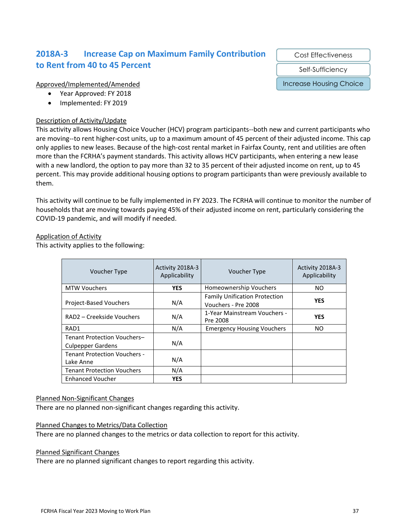## **2018A-3 Increase Cap on Maximum Family Contribution to Rent from 40 to 45 Percent**

#### Approved/Implemented/Amended

- Year Approved: FY 2018
- Implemented: FY 2019

#### Description of Activity/Update

This activity allows Housing Choice Voucher (HCV) program participants--both new and current participants who are moving--to rent higher-cost units, up to a maximum amount of 45 percent of their adjusted income. This cap only applies to new leases. Because of the high-cost rental market in Fairfax County, rent and utilities are often more than the FCRHA's payment standards. This activity allows HCV participants, when entering a new lease with a new landlord, the option to pay more than 32 to 35 percent of their adjusted income on rent, up to 45 percent. This may provide additional housing options to program participants than were previously available to them.

This activity will continue to be fully implemented in FY 2023. The FCRHA will continue to monitor the number of households that are moving towards paying 45% of their adjusted income on rent, particularly considering the COVID-19 pandemic, and will modify if needed.

#### Application of Activity

This activity applies to the following:

| Voucher Type                                            | Activity 2018A-3<br>Applicability | Voucher Type                                                | Activity 2018A-3<br>Applicability |
|---------------------------------------------------------|-----------------------------------|-------------------------------------------------------------|-----------------------------------|
| <b>MTW Vouchers</b>                                     | <b>YES</b>                        | Homeownership Vouchers                                      | NO.                               |
| <b>Project-Based Vouchers</b>                           | N/A                               | <b>Family Unification Protection</b><br>Vouchers - Pre 2008 | <b>YES</b>                        |
| RAD2 – Creekside Vouchers                               | N/A                               | 1-Year Mainstream Vouchers -<br>Pre 2008                    | <b>YES</b>                        |
| RAD1                                                    | N/A                               | <b>Emergency Housing Vouchers</b>                           | NO.                               |
| Tenant Protection Vouchers-<br><b>Culpepper Gardens</b> | N/A                               |                                                             |                                   |
| <b>Tenant Protection Vouchers -</b><br>Lake Anne        | N/A                               |                                                             |                                   |
| <b>Tenant Protection Vouchers</b>                       | N/A                               |                                                             |                                   |
| <b>Enhanced Voucher</b>                                 | <b>YES</b>                        |                                                             |                                   |

#### Planned Non-Significant Changes

There are no planned non-significant changes regarding this activity.

#### Planned Changes to Metrics/Data Collection

There are no planned changes to the metrics or data collection to report for this activity.

#### Planned Significant Changes

There are no planned significant changes to report regarding this activity.

Cost Effectiveness

Self-Sufficiency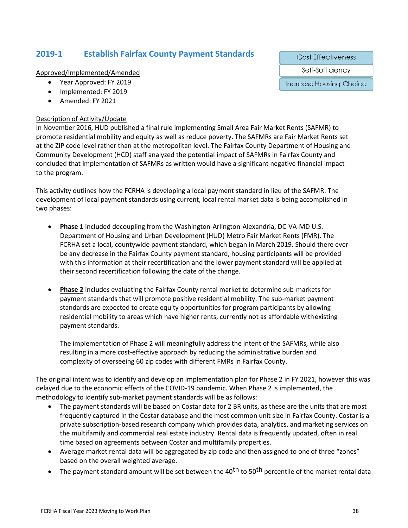## **2019-1 Establish Fairfax County Payment Standards**

Approved/Implemented/Amended

- Year Approved: FY 2019
- Implemented: FY 2019
- Amended: FY 2021

#### Description of Activity/Update

In November 2016, HUD published a final rule implementing Small Area Fair Market Rents (SAFMR) to promote residential mobility and equity as well as reduce poverty. The SAFMRs are Fair Market Rents set at the ZIP code level rather than at the metropolitan level. The Fairfax County Department of Housing and Community Development (HCD) staff analyzed the potential impact of SAFMRs in Fairfax County and concluded that implementation of SAFMRs as written would have a significant negative financial impact to the program.

This activity outlines how the FCRHA is developing a local payment standard in lieu of the SAFMR. The development of local payment standards using current, local rental market data is being accomplished in two phases:

- **Phase 1** included decoupling from the Washington-Arlington-Alexandria, DC-VA-MD U.S. Department of Housing and Urban Development (HUD) Metro Fair Market Rents (FMR). The FCRHA set a local, countywide payment standard, which began in March 2019. Should there ever be any decrease in the Fairfax County payment standard, housing participants will be provided with this information at their recertification and the lower payment standard will be applied at their second recertification following the date of the change.
- **Phase 2** includes evaluating the Fairfax County rental market to determine sub-markets for payment standards that will promote positive residential mobility. The sub-market payment standards are expected to create equity opportunities for program participants by allowing residential mobility to areas which have higher rents, currently not as affordable withexisting payment standards.

The implementation of Phase 2 will meaningfully address the intent of the SAFMRs, while also resulting in a more cost-effective approach by reducing the administrative burden and complexity of overseeing 60 zip codes with different FMRs in Fairfax County.

The original intent was to identify and develop an implementation plan for Phase 2 in FY 2021, however this was delayed due to the economic effects of the COVID-19 pandemic. When Phase 2 is implemented, the methodology to identify sub-market payment standards will be as follows:

- The payment standards will be based on Costar data for 2 BR units, as these are the units that are most frequently captured in the Costar database and the most common unit size in Fairfax County. Costar is a private subscription-based research company which provides data, analytics, and marketing services on the multifamily and commercial real estate industry. Rental data is frequently updated, often in real time based on agreements between Costar and multifamily properties.
- Average market rental data will be aggregated by zip code and then assigned to one of three "zones" based on the overall weighted average.
- The payment standard amount will be set between the 40<sup>th</sup> to 50<sup>th</sup> percentile of the market rental data

**Cost Effectiveness** 

Self-Sufficiency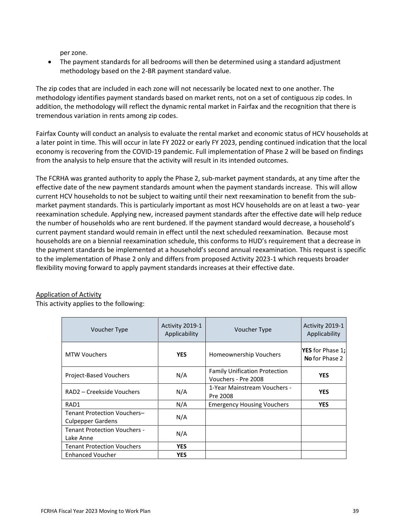per zone.

• The payment standards for all bedrooms will then be determined using a standard adjustment methodology based on the 2-BR payment standard value.

The zip codes that are included in each zone will not necessarily be located next to one another. The methodology identifies payment standards based on market rents, not on a set of contiguous zip codes. In addition, the methodology will reflect the dynamic rental market in Fairfax and the recognition that there is tremendous variation in rents among zip codes.

Fairfax County will conduct an analysis to evaluate the rental market and economic status of HCV households at a later point in time. This will occur in late FY 2022 or early FY 2023, pending continued indication that the local economy is recovering from the COVID-19 pandemic. Full implementation of Phase 2 will be based on findings from the analysis to help ensure that the activity will result in its intended outcomes.

The FCRHA was granted authority to apply the Phase 2, sub-market payment standards, at any time after the effective date of the new payment standards amount when the payment standards increase. This will allow current HCV households to not be subject to waiting until their next reexamination to benefit from the submarket payment standards. This is particularly important as most HCV households are on at least a two- year reexamination schedule. Applying new, increased payment standards after the effective date will help reduce the number of households who are rent burdened. If the payment standard would decrease, a household's current payment standard would remain in effect until the next scheduled reexamination. Because most households are on a biennial reexamination schedule, this conforms to HUD's requirement that a decrease in the payment standards be implemented at a household's second annual reexamination. This request is specific to the implementation of Phase 2 only and differs from proposed Activity 2023-1 which requests broader flexibility moving forward to apply payment standards increases at their effective date.

#### Application of Activity

This activity applies to the following:

| Voucher Type                                            | Activity 2019-1<br>Applicability | <b>Voucher Type</b>                                         | Activity 2019-1<br>Applicability                 |
|---------------------------------------------------------|----------------------------------|-------------------------------------------------------------|--------------------------------------------------|
| <b>MTW Vouchers</b>                                     | <b>YES</b>                       | <b>Homeownership Vouchers</b>                               | <b>YES</b> for Phase 1;<br><b>No</b> for Phase 2 |
| <b>Project-Based Vouchers</b>                           | N/A                              | <b>Family Unification Protection</b><br>Vouchers - Pre 2008 | <b>YES</b>                                       |
| RAD2 – Creekside Vouchers                               | N/A                              | 1-Year Mainstream Vouchers -<br>Pre 2008                    | <b>YES</b>                                       |
| RAD1                                                    | N/A                              | <b>Emergency Housing Vouchers</b>                           | <b>YES</b>                                       |
| Tenant Protection Vouchers-<br><b>Culpepper Gardens</b> | N/A                              |                                                             |                                                  |
| <b>Tenant Protection Vouchers -</b><br>Lake Anne        | N/A                              |                                                             |                                                  |
| <b>Tenant Protection Vouchers</b>                       | <b>YES</b>                       |                                                             |                                                  |
| <b>Enhanced Voucher</b>                                 | <b>YES</b>                       |                                                             |                                                  |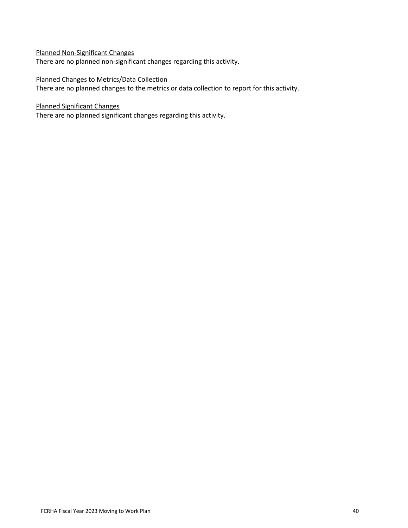### Planned Non-Significant Changes

There are no planned non-significant changes regarding this activity.

#### Planned Changes to Metrics/Data Collection

There are no planned changes to the metrics or data collection to report for this activity.

#### Planned Significant Changes

There are no planned significant changes regarding this activity.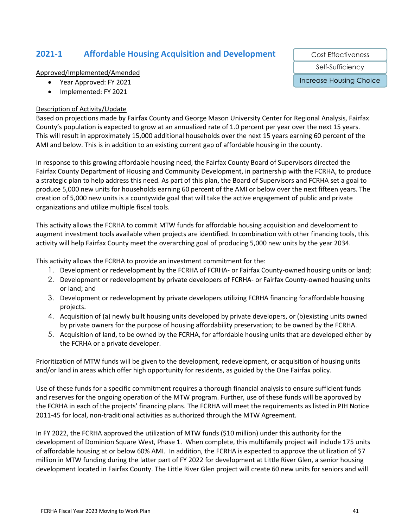## **2021-1 Affordable Housing Acquisition and Development**

Approved/Implemented/Amended

- Year Approved: FY 2021
- Implemented: FY 2021

#### Description of Activity/Update

Based on projections made by Fairfax County and George Mason University Center for Regional Analysis, Fairfax County's population is expected to grow at an annualized rate of 1.0 percent per year over the next 15 years. This will result in approximately 15,000 additional households over the next 15 years earning 60 percent of the AMI and below. This is in addition to an existing current gap of affordable housing in the county.

In response to this growing affordable housing need, the Fairfax County Board of Supervisors directed the Fairfax County Department of Housing and Community Development, in partnership with the FCRHA, to produce a strategic plan to help address this need. As part of this plan, the Board of Supervisors and FCRHA set a goal to produce 5,000 new units for households earning 60 percent of the AMI or below over the next fifteen years. The creation of 5,000 new units is a countywide goal that will take the active engagement of public and private organizations and utilize multiple fiscal tools.

This activity allows the FCRHA to commit MTW funds for affordable housing acquisition and development to augment investment tools available when projects are identified. In combination with other financing tools, this activity will help Fairfax County meet the overarching goal of producing 5,000 new units by the year 2034.

This activity allows the FCRHA to provide an investment commitment for the:

- 1. Development or redevelopment by the FCRHA of FCRHA- or Fairfax County-owned housing units or land;
- 2. Development or redevelopment by private developers of FCRHA- or Fairfax County-owned housing units or land; and
- 3. Development or redevelopment by private developers utilizing FCRHA financing foraffordable housing projects.
- 4. Acquisition of (a) newly built housing units developed by private developers, or (b)existing units owned by private owners for the purpose of housing affordability preservation; to be owned by the FCRHA.
- 5. Acquisition of land, to be owned by the FCRHA, for affordable housing units that are developed either by the FCRHA or a private developer.

Prioritization of MTW funds will be given to the development, redevelopment, or acquisition of housing units and/or land in areas which offer high opportunity for residents, as guided by the One Fairfax policy.

Use of these funds for a specific commitment requires a thorough financial analysis to ensure sufficient funds and reserves for the ongoing operation of the MTW program. Further, use of these funds will be approved by the FCRHA in each of the projects' financing plans. The FCRHA will meet the requirements as listed in PIH Notice 2011-45 for local, non-traditional activities as authorized through the MTW Agreement.

In FY 2022, the FCRHA approved the utilization of MTW funds (\$10 million) under this authority for the development of Dominion Square West, Phase 1. When complete, this multifamily project will include 175 units of affordable housing at or below 60% AMI. In addition, the FCRHA is expected to approve the utilization of \$7 million in MTW funding during the latter part of FY 2022 for development at Little River Glen, a senior housing development located in Fairfax County. The Little River Glen project will create 60 new units for seniors and will

Cost Effectiveness

Self-Sufficiency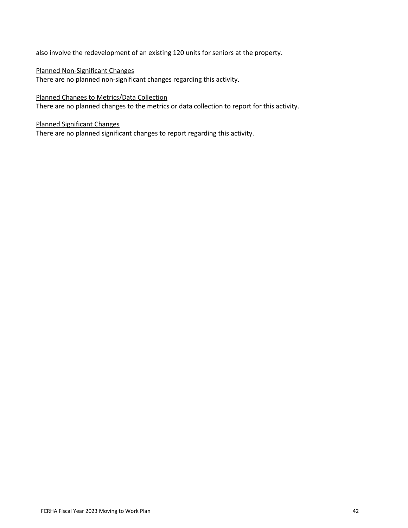also involve the redevelopment of an existing 120 units for seniors at the property.

#### Planned Non-Significant Changes

There are no planned non-significant changes regarding this activity.

#### Planned Changes to Metrics/Data Collection

There are no planned changes to the metrics or data collection to report for this activity.

#### Planned Significant Changes

There are no planned significant changes to report regarding this activity.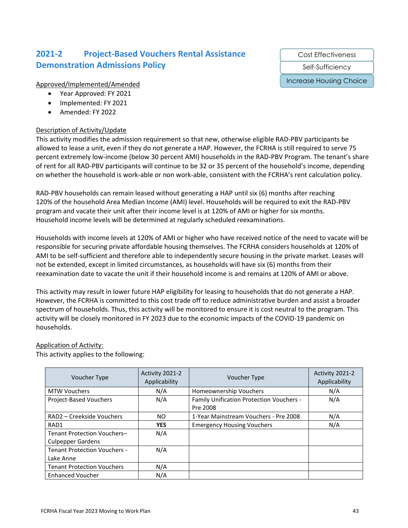## **2021-2 Project-Based Vouchers Rental Assistance Demonstration Admissions Policy**

#### Approved/Implemented/Amended

- Year Approved: FY 2021
- Implemented: FY 2021
- Amended: FY 2022

#### Description of Activity/Update

This activity modifies the admission requirement so that new, otherwise eligible RAD-PBV participants be allowed to lease a unit, even if they do not generate a HAP. However, the FCRHA is still required to serve 75 percent extremely low-income (below 30 percent AMI) households in the RAD-PBV Program. The tenant's share of rent for all RAD-PBV participants will continue to be 32 or 35 percent of the household's income, depending on whether the household is work-able or non work-able, consistent with the FCRHA's rent calculation policy.

RAD-PBV households can remain leased without generating a HAP until six (6) months after reaching 120% of the household Area Median Income (AMI) level. Households will be required to exit the RAD-PBV program and vacate their unit after their income level is at 120% of AMI or higher for six months. Household income levels will be determined at regularly scheduled reexaminations.

Households with income levels at 120% of AMI or higher who have received notice of the need to vacate will be responsible for securing private affordable housing themselves. The FCRHA considers households at 120% of AMI to be self-sufficient and therefore able to independently secure housing in the private market. Leases will not be extended, except in limited circumstances, as households will have six (6) months from their reexamination date to vacate the unit if their household income is and remains at 120% of AMI or above.

This activity may result in lower future HAP eligibility for leasing to households that do not generate a HAP. However, the FCRHA is committed to this cost trade off to reduce administrative burden and assist a broader spectrum of households. Thus, this activity will be monitored to ensure it is cost neutral to the program. This activity will be closely monitored in FY 2023 due to the economic impacts of the COVID-19 pandemic on households.

#### Application of Activity:

This activity applies to the following:

| <b>Voucher Type</b>                                     | Activity 2021-2<br>Applicability | <b>Voucher Type</b>                                  | Activity 2021-2<br>Applicability |
|---------------------------------------------------------|----------------------------------|------------------------------------------------------|----------------------------------|
| <b>MTW Vouchers</b>                                     | N/A                              | Homeownership Vouchers                               | N/A                              |
| <b>Project-Based Vouchers</b>                           | N/A                              | Family Unification Protection Vouchers -<br>Pre 2008 | N/A                              |
| RAD2 – Creekside Vouchers                               | NO.                              | 1-Year Mainstream Vouchers - Pre 2008                | N/A                              |
| RAD1                                                    | <b>YES</b>                       | <b>Emergency Housing Vouchers</b>                    | N/A                              |
| Tenant Protection Vouchers-<br><b>Culpepper Gardens</b> | N/A                              |                                                      |                                  |
| <b>Tenant Protection Vouchers -</b><br>Lake Anne        | N/A                              |                                                      |                                  |
| <b>Tenant Protection Vouchers</b>                       | N/A                              |                                                      |                                  |
| <b>Enhanced Voucher</b>                                 | N/A                              |                                                      |                                  |

Cost Effectiveness

Self-Sufficiency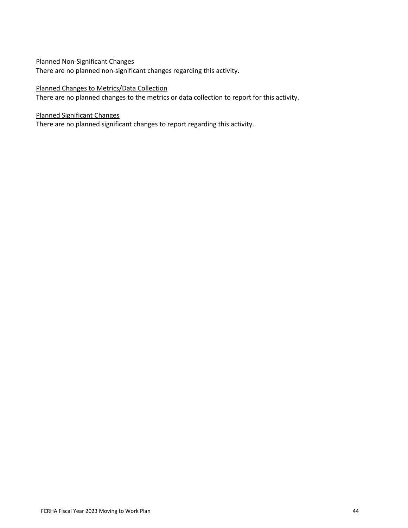#### Planned Non-Significant Changes

There are no planned non-significant changes regarding this activity.

#### Planned Changes to Metrics/Data Collection

There are no planned changes to the metrics or data collection to report for this activity.

#### Planned Significant Changes

There are no planned significant changes to report regarding this activity.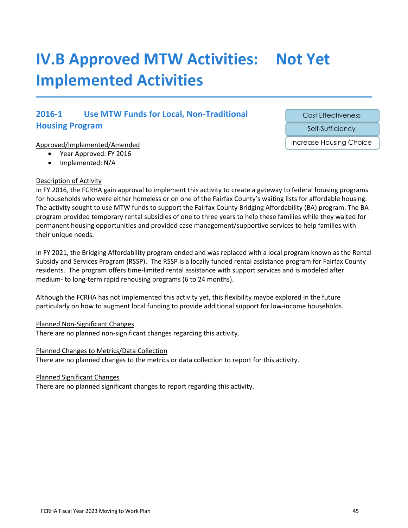## **IV.B Approved MTW Activities: Not Yet Implemented Activities**

## **2016-1 Use MTW Funds for Local, Non-Traditional Housing Program**

#### Approved/Implemented/Amended

- Year Approved: FY 2016
- Implemented: N/A

#### Description of Activity

In FY 2016, the FCRHA gain approval to implement this activity to create a gateway to federal housing programs for households who were either homeless or on one of the Fairfax County's waiting lists for affordable housing. The activity sought to use MTW funds to support the Fairfax County Bridging Affordability (BA) program. The BA program provided temporary rental subsidies of one to three years to help these families while they waited for permanent housing opportunities and provided case management/supportive services to help families with their unique needs.

In FY 2021, the Bridging Affordability program ended and was replaced with a local program known as the Rental Subsidy and Services Program (RSSP). The RSSP is a locally funded rental assistance program for Fairfax County residents. The program offers time-limited rental assistance with support services and is modeled after medium- to long-term rapid rehousing programs (6 to 24 months).

Although the FCRHA has not implemented this activity yet, this flexibility maybe explored in the future particularly on how to augment local funding to provide additional support for low-income households.

Planned Non-Significant Changes

There are no planned non-significant changes regarding this activity.

#### Planned Changes to Metrics/Data Collection

There are no planned changes to the metrics or data collection to report for this activity.

#### Planned Significant Changes

There are no planned significant changes to report regarding this activity.

Cost Effectiveness

Self-Sufficiency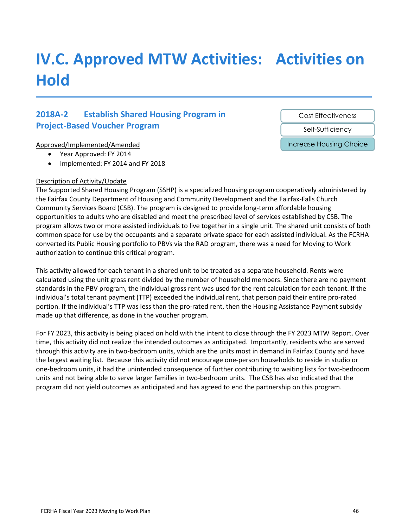## **IV.C. Approved MTW Activities: Activities on Hold**

## **2018A-2 Establish Shared Housing Program in Project-Based Voucher Program**

#### Approved/Implemented/Amended

- Year Approved: FY 2014
- Implemented: FY 2014 and FY 2018

#### Description of Activity/Update

The Supported Shared Housing Program (SSHP) is a specialized housing program cooperatively administered by the Fairfax County Department of Housing and Community Development and the Fairfax-Falls Church Community Services Board (CSB). The program is designed to provide long-term affordable housing opportunities to adults who are disabled and meet the prescribed level of services established by CSB. The program allows two or more assisted individuals to live together in a single unit. The shared unit consists of both common space for use by the occupants and a separate private space for each assisted individual. As the FCRHA converted its Public Housing portfolio to PBVs via the RAD program, there was a need for Moving to Work authorization to continue this critical program.

This activity allowed for each tenant in a shared unit to be treated as a separate household. Rents were calculated using the unit gross rent divided by the number of household members. Since there are no payment standards in the PBV program, the individual gross rent was used for the rent calculation for each tenant. If the individual's total tenant payment (TTP) exceeded the individual rent, that person paid their entire pro-rated portion. If the individual's TTP was less than the pro-rated rent, then the Housing Assistance Payment subsidy made up that difference, as done in the voucher program.

For FY 2023, this activity is being placed on hold with the intent to close through the FY 2023 MTW Report. Over time, this activity did not realize the intended outcomes as anticipated. Importantly, residents who are served through this activity are in two-bedroom units, which are the units most in demand in Fairfax County and have the largest waiting list. Because this activity did not encourage one-person households to reside in studio or one-bedroom units, it had the unintended consequence of further contributing to waiting lists for two-bedroom units and not being able to serve larger families in two-bedroom units. The CSB has also indicated that the program did not yield outcomes as anticipated and has agreed to end the partnership on this program.

Cost Effectiveness

Self-Sufficiency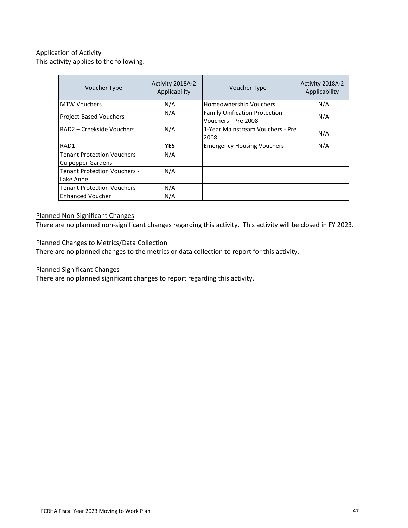### Application of Activity

This activity applies to the following:

| Voucher Type                                                   | Activity 2018A-2<br>Applicability | Voucher Type                                                | Activity 2018A-2<br>Applicability |
|----------------------------------------------------------------|-----------------------------------|-------------------------------------------------------------|-----------------------------------|
| <b>MTW Vouchers</b>                                            | N/A                               | Homeownership Vouchers                                      | N/A                               |
| Project-Based Vouchers                                         | N/A                               | <b>Family Unification Protection</b><br>Vouchers - Pre 2008 | N/A                               |
| RAD2 - Creekside Vouchers                                      | N/A                               | 1-Year Mainstream Vouchers - Pre<br>2008                    | N/A                               |
| RAD1                                                           | <b>YES</b>                        | <b>Emergency Housing Vouchers</b>                           | N/A                               |
| <b>Tenant Protection Vouchers-</b><br><b>Culpepper Gardens</b> | N/A                               |                                                             |                                   |
| <b>Tenant Protection Vouchers -</b><br>Lake Anne               | N/A                               |                                                             |                                   |
| <b>Tenant Protection Vouchers</b>                              | N/A                               |                                                             |                                   |
| <b>Enhanced Voucher</b>                                        | N/A                               |                                                             |                                   |

#### Planned Non-Significant Changes

There are no planned non-significant changes regarding this activity. This activity will be closed in FY 2023.

Planned Changes to Metrics/Data Collection

There are no planned changes to the metrics or data collection to report for this activity.

Planned Significant Changes

There are no planned significant changes to report regarding this activity.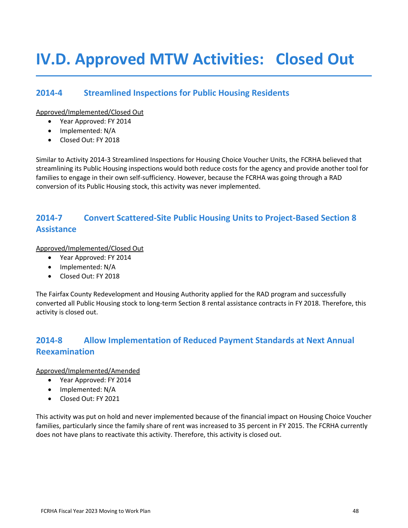## **IV.D. Approved MTW Activities: Closed Out**

### **2014-4 Streamlined Inspections for Public Housing Residents**

Approved/Implemented/Closed Out

- Year Approved: FY 2014
- Implemented: N/A
- Closed Out: FY 2018

Similar to Activity 2014-3 Streamlined Inspections for Housing Choice Voucher Units, the FCRHA believed that streamlining its Public Housing inspections would both reduce costs for the agency and provide another tool for families to engage in their own self-sufficiency. However, because the FCRHA was going through a RAD conversion of its Public Housing stock, this activity was never implemented.

## **2014-7 Convert Scattered-Site Public Housing Units to Project-Based Section 8 Assistance**

Approved/Implemented/Closed Out

- Year Approved: FY 2014
- Implemented: N/A
- Closed Out: FY 2018

The Fairfax County Redevelopment and Housing Authority applied for the RAD program and successfully converted all Public Housing stock to long-term Section 8 rental assistance contracts in FY 2018. Therefore, this activity is closed out.

## **2014-8 Allow Implementation of Reduced Payment Standards at Next Annual Reexamination**

Approved/Implemented/Amended

- Year Approved: FY 2014
- Implemented: N/A
- Closed Out: FY 2021

This activity was put on hold and never implemented because of the financial impact on Housing Choice Voucher families, particularly since the family share of rent was increased to 35 percent in FY 2015. The FCRHA currently does not have plans to reactivate this activity. Therefore, this activity is closed out.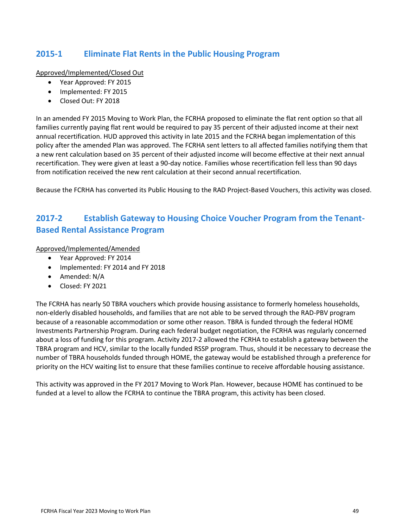## **2015-1 Eliminate Flat Rents in the Public Housing Program**

Approved/Implemented/Closed Out

- Year Approved: FY 2015
- Implemented: FY 2015
- Closed Out: FY 2018

In an amended FY 2015 Moving to Work Plan, the FCRHA proposed to eliminate the flat rent option so that all families currently paying flat rent would be required to pay 35 percent of their adjusted income at their next annual recertification. HUD approved this activity in late 2015 and the FCRHA began implementation of this policy after the amended Plan was approved. The FCRHA sent letters to all affected families notifying them that a new rent calculation based on 35 percent of their adjusted income will become effective at their next annual recertification. They were given at least a 90-day notice. Families whose recertification fell less than 90 days from notification received the new rent calculation at their second annual recertification.

Because the FCRHA has converted its Public Housing to the RAD Project-Based Vouchers, this activity was closed.

## **2017-2 Establish Gateway to Housing Choice Voucher Program from the Tenant-Based Rental Assistance Program**

Approved/Implemented/Amended

- Year Approved: FY 2014
- Implemented: FY 2014 and FY 2018
- Amended: N/A
- Closed: FY 2021

The FCRHA has nearly 50 TBRA vouchers which provide housing assistance to formerly homeless households, non-elderly disabled households, and families that are not able to be served through the RAD-PBV program because of a reasonable accommodation or some other reason. TBRA is funded through the federal HOME Investments Partnership Program. During each federal budget negotiation, the FCRHA was regularly concerned about a loss of funding for this program. Activity 2017-2 allowed the FCRHA to establish a gateway between the TBRA program and HCV, similar to the locally funded RSSP program. Thus, should it be necessary to decrease the number of TBRA households funded through HOME, the gateway would be established through a preference for priority on the HCV waiting list to ensure that these families continue to receive affordable housing assistance.

This activity was approved in the FY 2017 Moving to Work Plan. However, because HOME has continued to be funded at a level to allow the FCRHA to continue the TBRA program, this activity has been closed.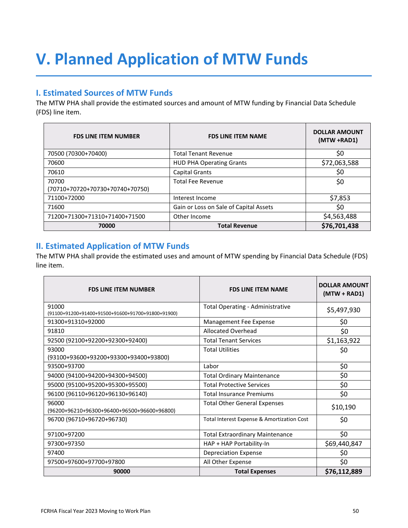# <span id="page-49-0"></span>**V. Planned Application of MTW Funds**

## **I. Estimated Sources of MTW Funds**

The MTW PHA shall provide the estimated sources and amount of MTW funding by Financial Data Schedule (FDS) line item.

| <b>FDS LINE ITEM NUMBER</b>              | <b>FDS LINE ITEM NAME</b>              | <b>DOLLAR AMOUNT</b><br>(MTW +RAD1) |
|------------------------------------------|----------------------------------------|-------------------------------------|
| 70500 (70300+70400)                      | <b>Total Tenant Revenue</b>            | \$0                                 |
| 70600                                    | <b>HUD PHA Operating Grants</b>        | \$72,063,588                        |
| 70610                                    | <b>Capital Grants</b>                  | \$0                                 |
| 70700<br>(70710+70720+70730+70740+70750) | <b>Total Fee Revenue</b>               | \$0                                 |
| 71100+72000                              | Interest Income                        | \$7,853                             |
| 71600                                    | Gain or Loss on Sale of Capital Assets | \$0                                 |
| 71200+71300+71310+71400+71500            | Other Income                           | \$4,563,488                         |
| 70000                                    | <b>Total Revenue</b>                   | \$76,701,438                        |

### **II. Estimated Application of MTW Funds**

The MTW PHA shall provide the estimated uses and amount of MTW spending by Financial Data Schedule (FDS) line item.

| <b>FDS LINE ITEM NUMBER</b>                                | <b>FDS LINE ITEM NAME</b>                  | <b>DOLLAR AMOUNT</b><br>$(MTW + RAD1)$ |
|------------------------------------------------------------|--------------------------------------------|----------------------------------------|
| 91000<br>(91100+91200+91400+91500+91600+91700+91800+91900) | <b>Total Operating - Administrative</b>    | \$5,497,930                            |
| 91300+91310+92000                                          | Management Fee Expense                     | \$0                                    |
| 91810                                                      | Allocated Overhead                         | \$0                                    |
| 92500 (92100+92200+92300+92400)                            | <b>Total Tenant Services</b>               | \$1,163,922                            |
| 93000<br>(93100+93600+93200+93300+93400+93800)             | <b>Total Utilities</b>                     | \$0                                    |
| 93500+93700                                                | Labor                                      | \$0                                    |
| 94000 (94100+94200+94300+94500)                            | <b>Total Ordinary Maintenance</b>          | \$0                                    |
| 95000 (95100+95200+95300+95500)                            | <b>Total Protective Services</b>           | \$0                                    |
| 96100 (96110+96120+96130+96140)                            | <b>Total Insurance Premiums</b>            | \$0                                    |
| 96000<br>(96200+96210+96300+96400+96500+96600+96800)       | <b>Total Other General Expenses</b>        | \$10,190                               |
| 96700 (96710+96720+96730)                                  | Total Interest Expense & Amortization Cost | \$0                                    |
| 97100+97200                                                | <b>Total Extraordinary Maintenance</b>     | \$0                                    |
| 97300+97350                                                | HAP + HAP Portability-In                   | \$69,440,847                           |
| 97400                                                      | <b>Depreciation Expense</b>                | \$0                                    |
| 97500+97600+97700+97800                                    | All Other Expense                          | \$0                                    |
| 90000                                                      | <b>Total Expenses</b>                      | \$76,112,889                           |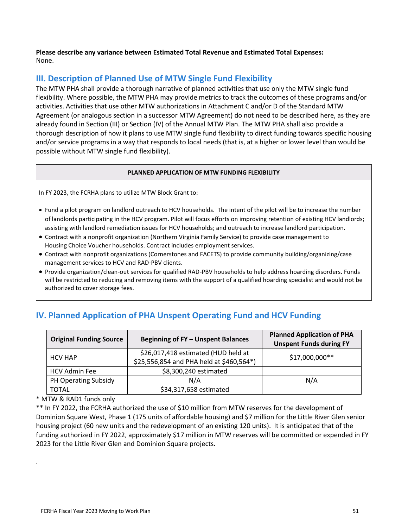**Please describe any variance between Estimated Total Revenue and Estimated Total Expenses:** None.

## **III. Description of Planned Use of MTW Single Fund Flexibility**

The MTW PHA shall provide a thorough narrative of planned activities that use only the MTW single fund flexibility. Where possible, the MTW PHA may provide metrics to track the outcomes of these programs and/or activities. Activities that use other MTW authorizations in Attachment C and/or D of the Standard MTW Agreement (or analogous section in a successor MTW Agreement) do not need to be described here, as they are already found in Section (III) or Section (IV) of the Annual MTW Plan. The MTW PHA shall also provide a thorough description of how it plans to use MTW single fund flexibility to direct funding towards specific housing and/or service programs in a way that responds to local needs (that is, at a higher or lower level than would be possible without MTW single fund flexibility).

#### **PLANNED APPLICATION OF MTW FUNDING FLEXIBILITY**

In FY 2023, the FCRHA plans to utilize MTW Block Grant to:

- Fund a pilot program on landlord outreach to HCV households. The intent of the pilot will be to increase the number of landlords participating in the HCV program. Pilot will focus efforts on improving retention of existing HCV landlords; assisting with landlord remediation issues for HCV households; and outreach to increase landlord participation.
- Contract with a nonprofit organization (Northern Virginia Family Service) to provide case management to Housing Choice Voucher households. Contract includes employment services.
- Contract with nonprofit organizations (Cornerstones and FACETS) to provide community building/organizing/case management services to HCV and RAD-PBV clients.
- Provide organization/clean-out services for qualified RAD-PBV households to help address hoarding disorders. Funds will be restricted to reducing and removing items with the support of a qualified hoarding specialist and would not be authorized to cover storage fees.

| <b>Original Funding Source</b> | <b>Beginning of FY - Unspent Balances</b>                                       | <b>Planned Application of PHA</b><br><b>Unspent Funds during FY</b> |
|--------------------------------|---------------------------------------------------------------------------------|---------------------------------------------------------------------|
| <b>HCV HAP</b>                 | \$26,017,418 estimated (HUD held at<br>\$25,556,854 and PHA held at \$460,564*) | \$17,000,000**                                                      |
| <b>HCV Admin Fee</b>           | \$8,300,240 estimated                                                           |                                                                     |
| PH Operating Subsidy           | N/A                                                                             | N/A                                                                 |
| <b>TOTAL</b>                   | \$34,317,658 estimated                                                          |                                                                     |

## **IV. Planned Application of PHA Unspent Operating Fund and HCV Funding**

\* MTW & RAD1 funds only

.

\*\* In FY 2022, the FCRHA authorized the use of \$10 million from MTW reserves for the development of Dominion Square West, Phase 1 (175 units of affordable housing) and \$7 million for the Little River Glen senior housing project (60 new units and the redevelopment of an existing 120 units). It is anticipated that of the funding authorized in FY 2022, approximately \$17 million in MTW reserves will be committed or expended in FY 2023 for the Little River Glen and Dominion Square projects.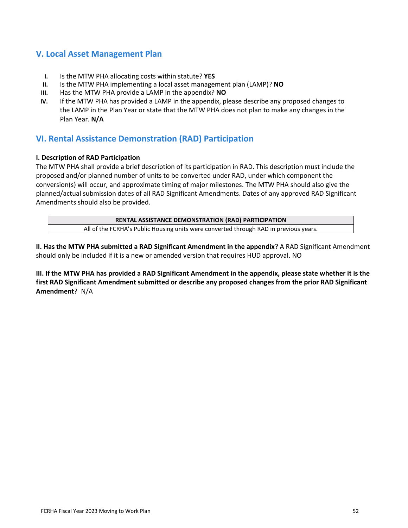### **V. Local Asset Management Plan**

- **I.** Is the MTW PHA allocating costs within statute? **YES**
- **II.** Is the MTW PHA implementing a local asset management plan (LAMP)? **NO**
- **III.** Has the MTW PHA provide a LAMP in the appendix? **NO**
- **IV.** If the MTW PHA has provided a LAMP in the appendix, please describe any proposed changes to the LAMP in the Plan Year or state that the MTW PHA does not plan to make any changes in the Plan Year. **N/A**

## **VI. Rental Assistance Demonstration (RAD) Participation**

#### **I. Description of RAD Participation**

The MTW PHA shall provide a brief description of its participation in RAD. This description must include the proposed and/or planned number of units to be converted under RAD, under which component the conversion(s) will occur, and approximate timing of major milestones. The MTW PHA should also give the planned/actual submission dates of all RAD Significant Amendments. Dates of any approved RAD Significant Amendments should also be provided.

| RENTAL ASSISTANCE DEMONSTRATION (RAD) PARTICIPATION                                   |  |  |  |
|---------------------------------------------------------------------------------------|--|--|--|
| All of the FCRHA's Public Housing units were converted through RAD in previous years. |  |  |  |

**II. Has the MTW PHA submitted a RAD Significant Amendment in the appendix**? A RAD Significant Amendment should only be included if it is a new or amended version that requires HUD approval. NO

**III. If the MTW PHA has provided a RAD Significant Amendment in the appendix, please state whether it is the first RAD Significant Amendment submitted or describe any proposed changes from the prior RAD Significant Amendment**? N/A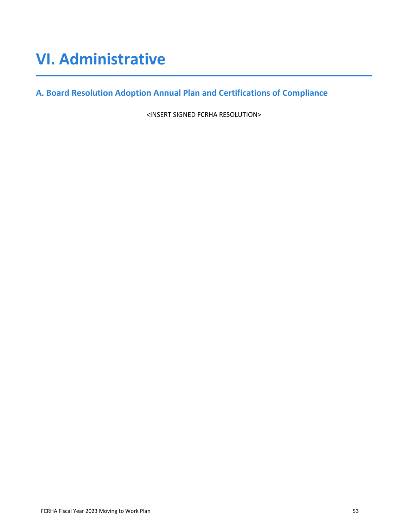## <span id="page-52-0"></span>**VI. Administrative**

**A. Board Resolution Adoption Annual Plan and Certifications of Compliance**

<INSERT SIGNED FCRHA RESOLUTION>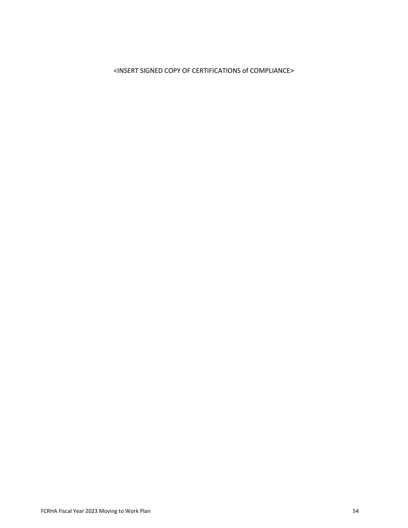### <INSERT SIGNED COPY OF CERTIFICATIONS of COMPLIANCE>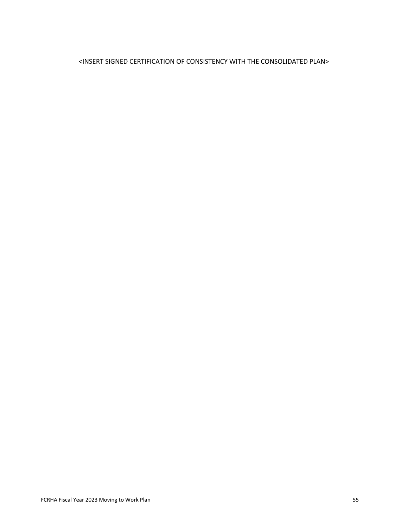#### <INSERT SIGNED CERTIFICATION OF CONSISTENCY WITH THE CONSOLIDATED PLAN>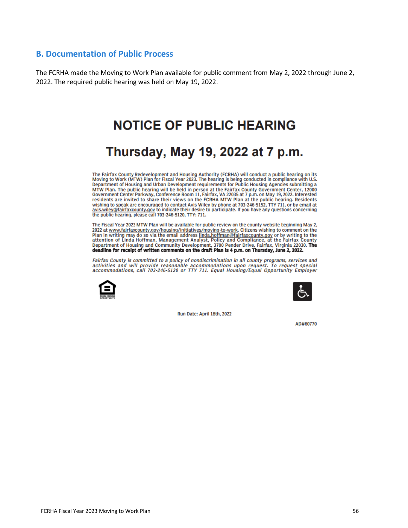#### **B. Documentation of Public Process**

The FCRHA made the Moving to Work Plan available for public comment from May 2, 2022 through June 2, 2022. The required public hearing was held on May 19, 2022.

## **NOTICE OF PUBLIC HEARING**

## Thursday, May 19, 2022 at 7 p.m.

The Fairfax County Redevelopment and Housing Authority (FCRHA) will conduct a public hearing on its<br>Moving to Work (MTW) Plan for Fiscal Year 2023. The hearing is being conducted in compliance with U.S. Department of Housing and Urban Development requirements for Public Housing Agencies submitting a MTW Plan. The public hearing will be held in person at the Fairfax County Government Center, 12000 Government Center Parkway, Conference Room 11, Fairfax, VA 22035 at 7 p.m. on May 19, 2022. Interested residents are invite experience to since the state of the state of the state with the state of the pulling to speak are encouraged to contact Avis Wiley by phone at 703-246-5152, TTY 711, or by email at avis. Wiley@fairfaxcounty.gov to indicat the public hearing, please call 703-246-5120, TTY: 711.

The Fiscal Year 2023 MTW Plan will be available for public review on the county website beginning May 2, 2022 at www.fairfaxcounty.gov/housing/initiatives/moving-to-work. Citizens wishing to comment on the Plan in writing may do so via the email address linda.hoffman@fairfaxcounty.gov or by writing to the<br>attention of Linda Hoffman, Management Analyst, Policy and Compliance, at the Fairfax County<br>Department of Housing and Co deadline for receipt of written comments on the draft Plan is 4 p.m. on Thursday, June 2, 2022.

Fairfax County is committed to a policy of nondiscrimination in all county programs, services and activities and will provide reasonable accommodations upon request. To request special accommodations, call 703-246-5120 or TTY 711. Equal Housing/Equal Opportunity Employer





Run Date: April 18th, 2022

AD#60770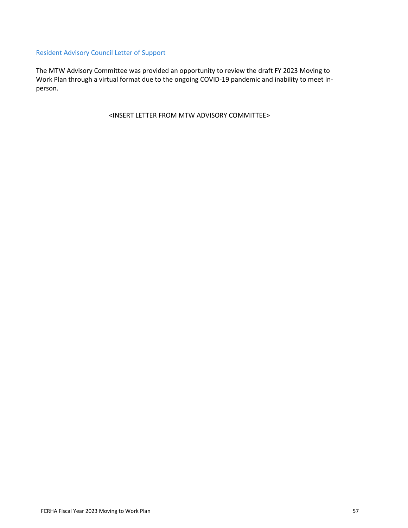#### Resident Advisory Council Letter of Support

The MTW Advisory Committee was provided an opportunity to review the draft FY 2023 Moving to Work Plan through a virtual format due to the ongoing COVID-19 pandemic and inability to meet inperson.

<INSERT LETTER FROM MTW ADVISORY COMMITTEE>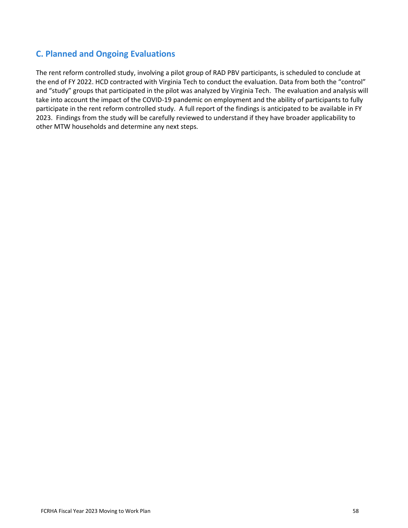## **C. Planned and Ongoing Evaluations**

The rent reform controlled study, involving a pilot group of RAD PBV participants, is scheduled to conclude at the end of FY 2022. HCD contracted with Virginia Tech to conduct the evaluation. Data from both the "control" and "study" groups that participated in the pilot was analyzed by Virginia Tech. The evaluation and analysis will take into account the impact of the COVID-19 pandemic on employment and the ability of participants to fully participate in the rent reform controlled study. A full report of the findings is anticipated to be available in FY 2023. Findings from the study will be carefully reviewed to understand if they have broader applicability to other MTW households and determine any next steps.